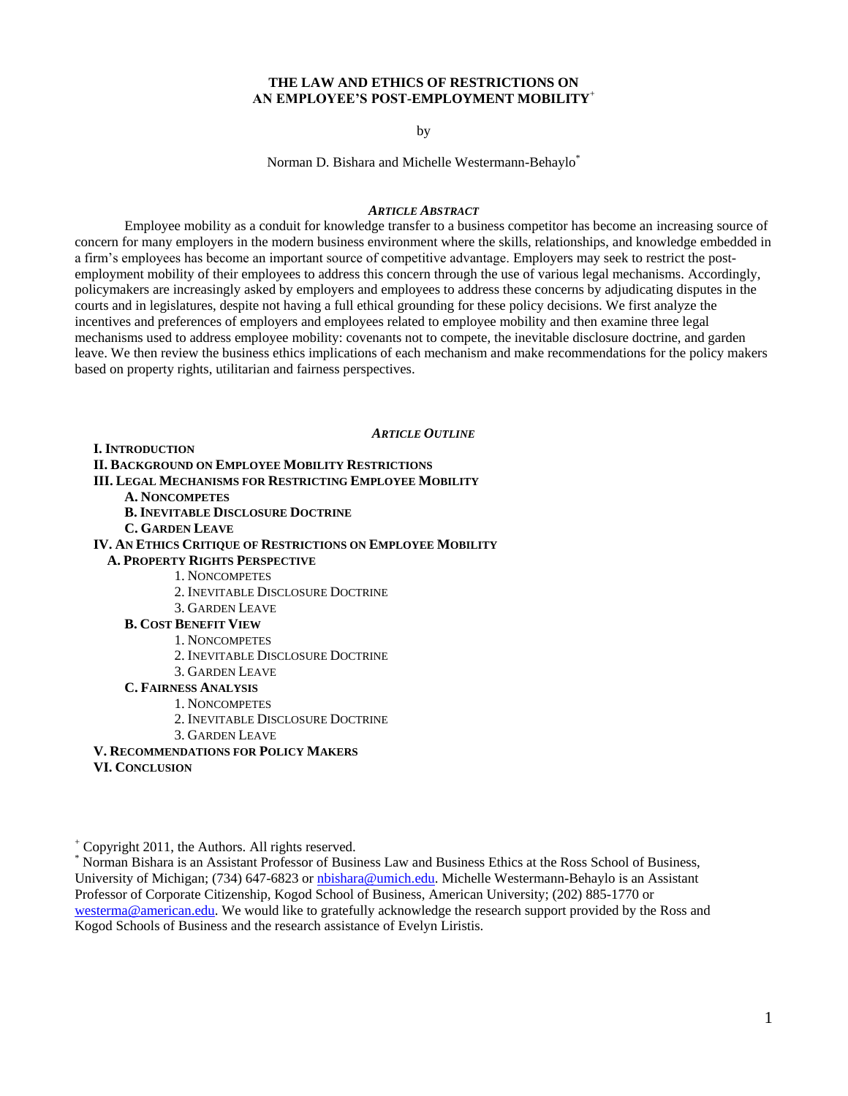# **THE LAW AND ETHICS OF RESTRICTIONS ON AN EMPLOYEE'S POST-EMPLOYMENT MOBILITY**<sup>+</sup>

by

Norman D. Bishara and Michelle Westermann-Behaylo\*

## *ARTICLE ABSTRACT*

Employee mobility as a conduit for knowledge transfer to a business competitor has become an increasing source of concern for many employers in the modern business environment where the skills, relationships, and knowledge embedded in a firm's employees has become an important source of competitive advantage. Employers may seek to restrict the postemployment mobility of their employees to address this concern through the use of various legal mechanisms. Accordingly, policymakers are increasingly asked by employers and employees to address these concerns by adjudicating disputes in the courts and in legislatures, despite not having a full ethical grounding for these policy decisions. We first analyze the incentives and preferences of employers and employees related to employee mobility and then examine three legal mechanisms used to address employee mobility: covenants not to compete, the inevitable disclosure doctrine, and garden leave. We then review the business ethics implications of each mechanism and make recommendations for the policy makers based on property rights, utilitarian and fairness perspectives.

*ARTICLE OUTLINE*

**I. INTRODUCTION II. BACKGROUND ON EMPLOYEE MOBILITY RESTRICTIONS III. LEGAL MECHANISMS FOR RESTRICTING EMPLOYEE MOBILITY A. NONCOMPETES B. INEVITABLE DISCLOSURE DOCTRINE C. GARDEN LEAVE IV. AN ETHICS CRITIQUE OF RESTRICTIONS ON EMPLOYEE MOBILITY A. PROPERTY RIGHTS PERSPECTIVE**  1. NONCOMPETES 2. INEVITABLE DISCLOSURE DOCTRINE 3. GARDEN LEAVE **B. COST BENEFIT VIEW**  1. NONCOMPETES 2. INEVITABLE DISCLOSURE DOCTRINE 3. GARDEN LEAVE **C. FAIRNESS ANALYSIS** 1. NONCOMPETES 2. INEVITABLE DISCLOSURE DOCTRINE 3. GARDEN LEAVE **V. RECOMMENDATIONS FOR POLICY MAKERS**

**VI. CONCLUSION**

<sup>+</sup> Copyright 2011, the Authors. All rights reserved.

<sup>\*</sup> Norman Bishara is an Assistant Professor of Business Law and Business Ethics at the Ross School of Business, University of Michigan; (734) 647-6823 or *nbishara@umich.edu*. Michelle Westermann-Behaylo is an Assistant Professor of Corporate Citizenship, Kogod School of Business, American University; (202) 885-1770 or [westerma@american.edu.](mailto:westerma@american.edu) We would like to gratefully acknowledge the research support provided by the Ross and Kogod Schools of Business and the research assistance of Evelyn Liristis.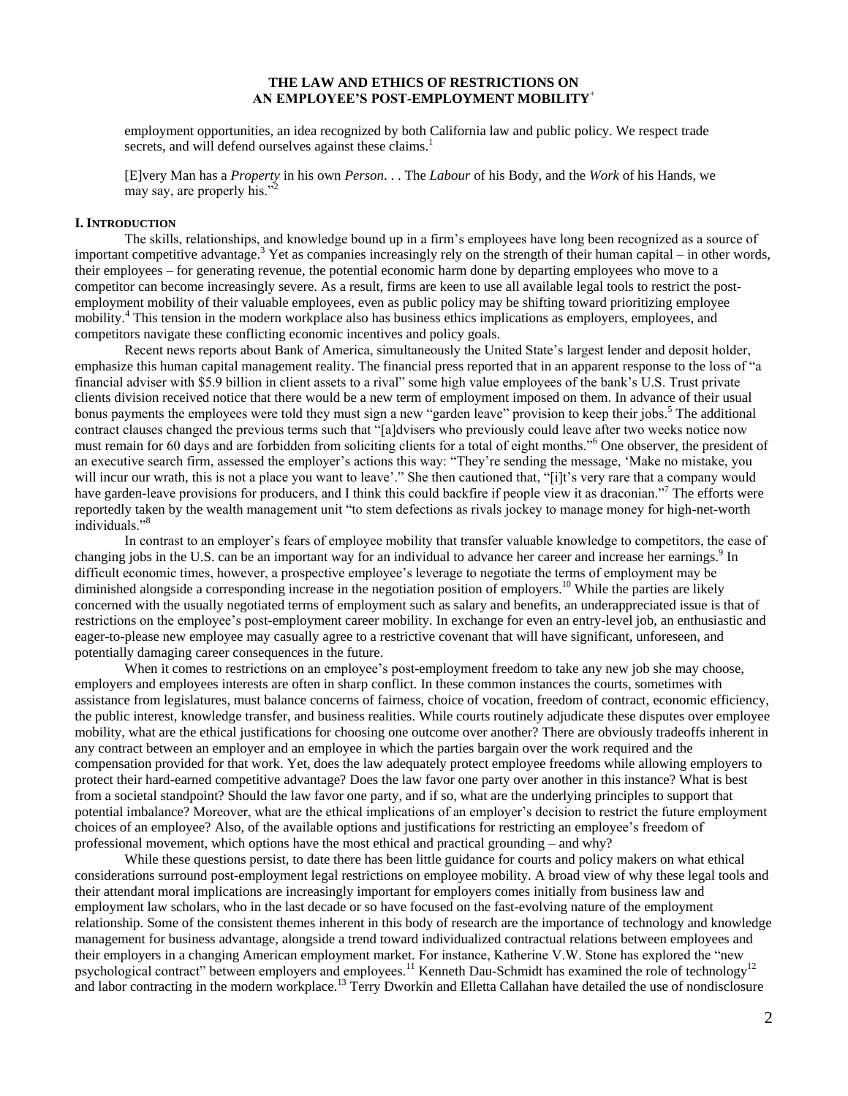# **THE LAW AND ETHICS OF RESTRICTIONS ON AN EMPLOYEE'S POST-EMPLOYMENT MOBILITY**<sup>+</sup>

employment opportunities, an idea recognized by both California law and public policy. We respect trade secrets, and will defend ourselves against these claims.<sup>1</sup>

[E]very Man has a *Property* in his own *Person*. . . The *Labour* of his Body, and the *Work* of his Hands, we may say, are properly his."

#### **I. INTRODUCTION**

The skills, relationships, and knowledge bound up in a firm's employees have long been recognized as a source of important competitive advantage.<sup>3</sup> Yet as companies increasingly rely on the strength of their human capital – in other words, their employees – for generating revenue, the potential economic harm done by departing employees who move to a competitor can become increasingly severe. As a result, firms are keen to use all available legal tools to restrict the postemployment mobility of their valuable employees, even as public policy may be shifting toward prioritizing employee mobility.<sup>4</sup> This tension in the modern workplace also has business ethics implications as employers, employees, and competitors navigate these conflicting economic incentives and policy goals.

Recent news reports about Bank of America, simultaneously the United State's largest lender and deposit holder, emphasize this human capital management reality. The financial press reported that in an apparent response to the loss of "a financial adviser with \$5.9 billion in client assets to a rival" some high value employees of the bank's U.S. Trust private clients division received notice that there would be a new term of employment imposed on them. In advance of their usual bonus payments the employees were told they must sign a new "garden leave" provision to keep their jobs.<sup>5</sup> The additional contract clauses changed the previous terms such that "[a]dvisers who previously could leave after two weeks notice now must remain for 60 days and are forbidden from soliciting clients for a total of eight months."<sup>6</sup> One observer, the president of an executive search firm, assessed the employer's actions this way: "They're sending the message, 'Make no mistake, you will incur our wrath, this is not a place you want to leave'." She then cautioned that, "[i]t's very rare that a company would have garden-leave provisions for producers, and I think this could backfire if people view it as draconian.<sup>77</sup> The efforts were reportedly taken by the wealth management unit "to stem defections as rivals jockey to manage money for high-net-worth individuals."<sup>8</sup>

In contrast to an employer's fears of employee mobility that transfer valuable knowledge to competitors, the ease of changing jobs in the U.S. can be an important way for an individual to advance her career and increase her earnings.<sup>9</sup> In difficult economic times, however, a prospective employee's leverage to negotiate the terms of employment may be diminished alongside a corresponding increase in the negotiation position of employers.<sup>10</sup> While the parties are likely concerned with the usually negotiated terms of employment such as salary and benefits, an underappreciated issue is that of restrictions on the employee's post-employment career mobility. In exchange for even an entry-level job, an enthusiastic and eager-to-please new employee may casually agree to a restrictive covenant that will have significant, unforeseen, and potentially damaging career consequences in the future.

When it comes to restrictions on an employee's post-employment freedom to take any new job she may choose, employers and employees interests are often in sharp conflict. In these common instances the courts, sometimes with assistance from legislatures, must balance concerns of fairness, choice of vocation, freedom of contract, economic efficiency, the public interest, knowledge transfer, and business realities. While courts routinely adjudicate these disputes over employee mobility, what are the ethical justifications for choosing one outcome over another? There are obviously tradeoffs inherent in any contract between an employer and an employee in which the parties bargain over the work required and the compensation provided for that work. Yet, does the law adequately protect employee freedoms while allowing employers to protect their hard-earned competitive advantage? Does the law favor one party over another in this instance? What is best from a societal standpoint? Should the law favor one party, and if so, what are the underlying principles to support that potential imbalance? Moreover, what are the ethical implications of an employer's decision to restrict the future employment choices of an employee? Also, of the available options and justifications for restricting an employee's freedom of professional movement, which options have the most ethical and practical grounding – and why?

While these questions persist, to date there has been little guidance for courts and policy makers on what ethical considerations surround post-employment legal restrictions on employee mobility. A broad view of why these legal tools and their attendant moral implications are increasingly important for employers comes initially from business law and employment law scholars, who in the last decade or so have focused on the fast-evolving nature of the employment relationship. Some of the consistent themes inherent in this body of research are the importance of technology and knowledge management for business advantage, alongside a trend toward individualized contractual relations between employees and their employers in a changing American employment market. For instance, Katherine V.W. Stone has explored the "new psychological contract" between employers and employees.<sup>11</sup> Kenneth Dau-Schmidt has examined the role of technology<sup>12</sup> and labor contracting in the modern workplace.<sup>13</sup> Terry Dworkin and Elletta Callahan have detailed the use of nondisclosure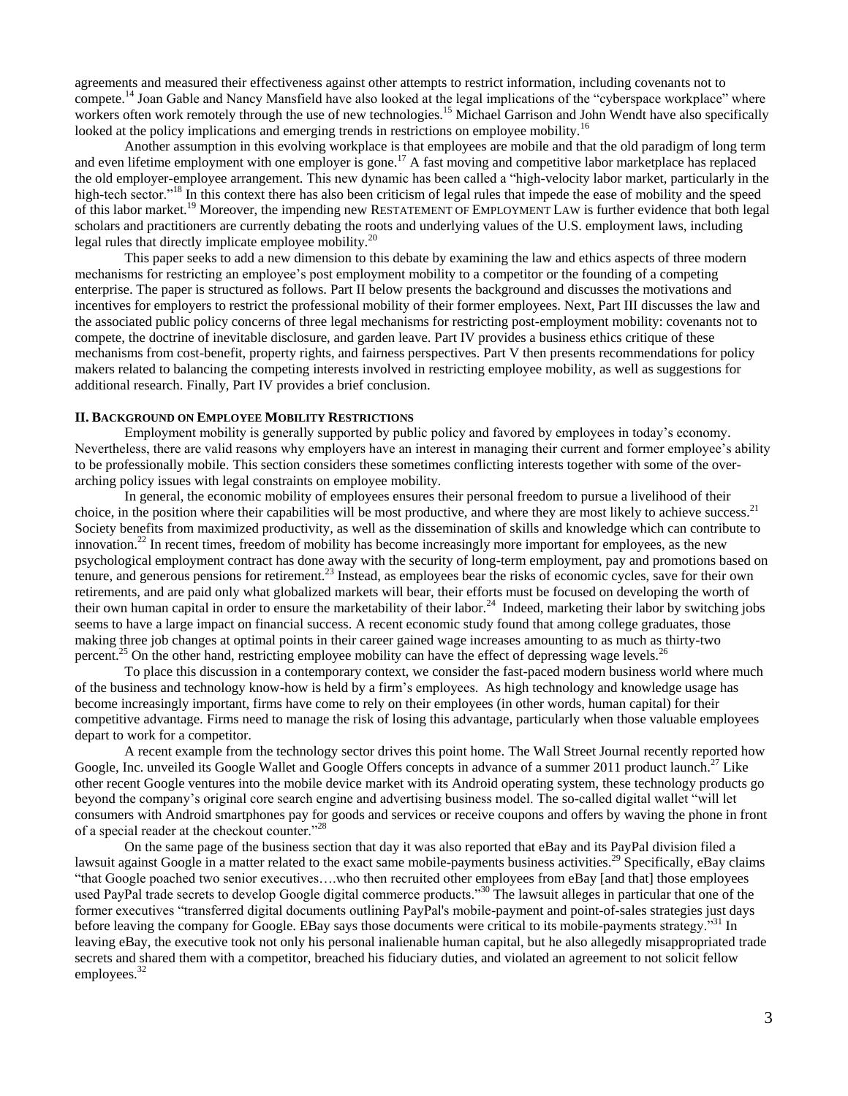agreements and measured their effectiveness against other attempts to restrict information, including covenants not to compete.<sup>14</sup> Joan Gable and Nancy Mansfield have also looked at the legal implications of the "cyberspace workplace" where workers often work remotely through the use of new technologies.<sup>15</sup> Michael Garrison and John Wendt have also specifically looked at the policy implications and emerging trends in restrictions on employee mobility.<sup>16</sup>

Another assumption in this evolving workplace is that employees are mobile and that the old paradigm of long term and even lifetime employment with one employer is gone.<sup>17</sup> A fast moving and competitive labor marketplace has replaced the old employer-employee arrangement. This new dynamic has been called a "high-velocity labor market, particularly in the high-tech sector."<sup>18</sup> In this context there has also been criticism of legal rules that impede the ease of mobility and the speed of this labor market.<sup>19</sup> Moreover, the impending new RESTATEMENT OF EMPLOYMENT LAW is further evidence that both legal scholars and practitioners are currently debating the roots and underlying values of the U.S. employment laws, including legal rules that directly implicate employee mobility.<sup>20</sup>

This paper seeks to add a new dimension to this debate by examining the law and ethics aspects of three modern mechanisms for restricting an employee's post employment mobility to a competitor or the founding of a competing enterprise. The paper is structured as follows. Part II below presents the background and discusses the motivations and incentives for employers to restrict the professional mobility of their former employees. Next, Part III discusses the law and the associated public policy concerns of three legal mechanisms for restricting post-employment mobility: covenants not to compete, the doctrine of inevitable disclosure, and garden leave. Part IV provides a business ethics critique of these mechanisms from cost-benefit, property rights, and fairness perspectives. Part V then presents recommendations for policy makers related to balancing the competing interests involved in restricting employee mobility, as well as suggestions for additional research. Finally, Part IV provides a brief conclusion.

#### **II. BACKGROUND ON EMPLOYEE MOBILITY RESTRICTIONS**

Employment mobility is generally supported by public policy and favored by employees in today's economy. Nevertheless, there are valid reasons why employers have an interest in managing their current and former employee's ability to be professionally mobile. This section considers these sometimes conflicting interests together with some of the overarching policy issues with legal constraints on employee mobility.

In general, the economic mobility of employees ensures their personal freedom to pursue a livelihood of their choice, in the position where their capabilities will be most productive, and where they are most likely to achieve success.<sup>21</sup> Society benefits from maximized productivity, as well as the dissemination of skills and knowledge which can contribute to innovation.<sup>22</sup> In recent times, freedom of mobility has become increasingly more important for employees, as the new psychological employment contract has done away with the security of long-term employment, pay and promotions based on tenure, and generous pensions for retirement.<sup>23</sup> Instead, as employees bear the risks of economic cycles, save for their own retirements, and are paid only what globalized markets will bear, their efforts must be focused on developing the worth of their own human capital in order to ensure the marketability of their labor.<sup>24</sup> Indeed, marketing their labor by switching jobs seems to have a large impact on financial success. A recent economic study found that among college graduates, those making three job changes at optimal points in their career gained wage increases amounting to as much as thirty-two percent.<sup>25</sup> On the other hand, restricting employee mobility can have the effect of depressing wage levels.<sup>26</sup>

To place this discussion in a contemporary context, we consider the fast-paced modern business world where much of the business and technology know-how is held by a firm's employees. As high technology and knowledge usage has become increasingly important, firms have come to rely on their employees (in other words, human capital) for their competitive advantage. Firms need to manage the risk of losing this advantage, particularly when those valuable employees depart to work for a competitor.

A recent example from the technology sector drives this point home. The Wall Street Journal recently reported how Google, Inc. unveiled its Google Wallet and Google Offers concepts in advance of a summer 2011 product launch.<sup>27</sup> Like other recent Google ventures into the mobile device market with its Android operating system, these technology products go beyond the company's original core search engine and advertising business model. The so-called digital wallet "will let consumers with Android smartphones pay for goods and services or receive coupons and offers by waving the phone in front of a special reader at the checkout counter."<sup>28</sup>

On the same page of the business section that day it was also reported that eBay and its PayPal division filed a lawsuit against Google in a matter related to the exact same mobile-payments business activities.<sup>29</sup> Specifically, eBay claims "that Google poached two senior executives....who then recruited other employees from eBay [and that] those employees used PayPal trade secrets to develop Google digital commerce products.<sup>30</sup> The lawsuit alleges in particular that one of the former executives "transferred digital documents outlining PayPal's mobile-payment and point-of-sales strategies just days before leaving the company for Google. EBay says those documents were critical to its mobile-payments strategy.<sup>331</sup> In leaving eBay, the executive took not only his personal inalienable human capital, but he also allegedly misappropriated trade secrets and shared them with a competitor, breached his fiduciary duties, and violated an agreement to not solicit fellow employees.<sup>32</sup>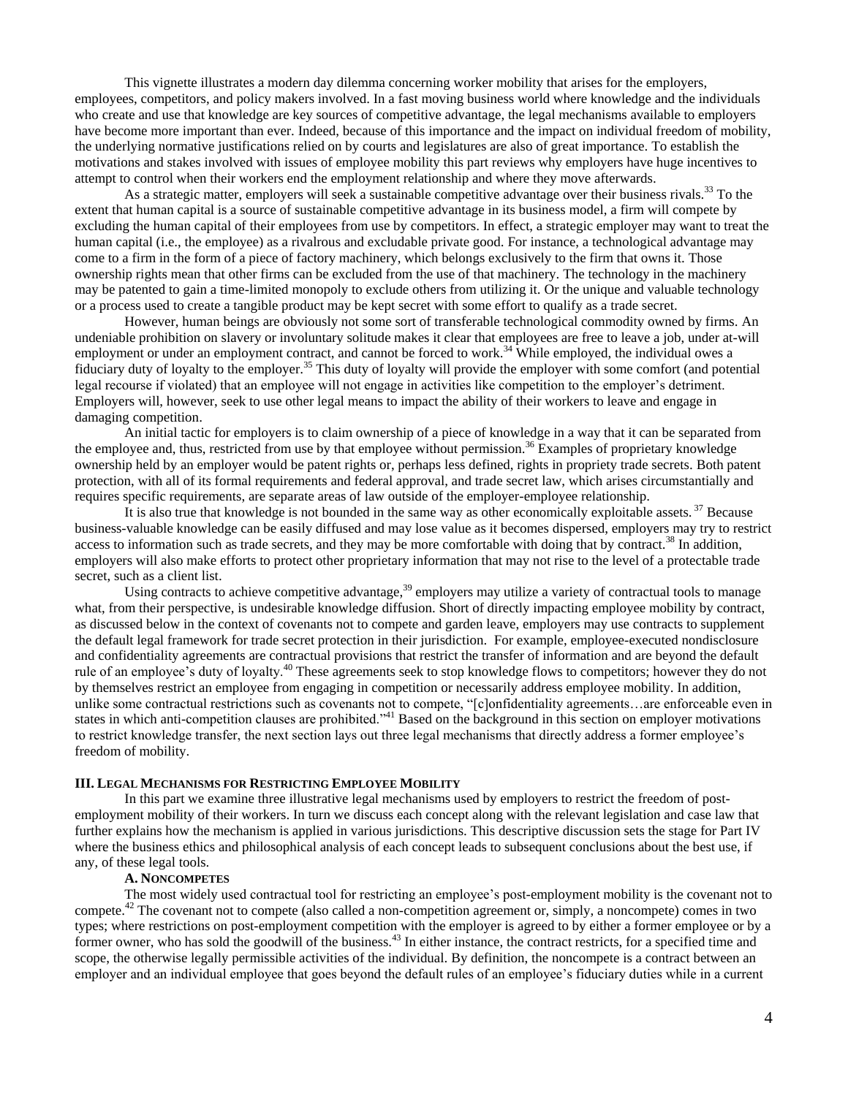This vignette illustrates a modern day dilemma concerning worker mobility that arises for the employers, employees, competitors, and policy makers involved. In a fast moving business world where knowledge and the individuals who create and use that knowledge are key sources of competitive advantage, the legal mechanisms available to employers have become more important than ever. Indeed, because of this importance and the impact on individual freedom of mobility, the underlying normative justifications relied on by courts and legislatures are also of great importance. To establish the motivations and stakes involved with issues of employee mobility this part reviews why employers have huge incentives to attempt to control when their workers end the employment relationship and where they move afterwards.

As a strategic matter, employers will seek a sustainable competitive advantage over their business rivals.<sup>33</sup> To the extent that human capital is a source of sustainable competitive advantage in its business model, a firm will compete by excluding the human capital of their employees from use by competitors. In effect, a strategic employer may want to treat the human capital (i.e., the employee) as a rivalrous and excludable private good. For instance, a technological advantage may come to a firm in the form of a piece of factory machinery, which belongs exclusively to the firm that owns it. Those ownership rights mean that other firms can be excluded from the use of that machinery. The technology in the machinery may be patented to gain a time-limited monopoly to exclude others from utilizing it. Or the unique and valuable technology or a process used to create a tangible product may be kept secret with some effort to qualify as a trade secret.

However, human beings are obviously not some sort of transferable technological commodity owned by firms. An undeniable prohibition on slavery or involuntary solitude makes it clear that employees are free to leave a job, under at-will employment or under an employment contract, and cannot be forced to work.<sup>34</sup> While employed, the individual owes a fiduciary duty of loyalty to the employer.<sup>35</sup> This duty of loyalty will provide the employer with some comfort (and potential legal recourse if violated) that an employee will not engage in activities like competition to the employer's detriment. Employers will, however, seek to use other legal means to impact the ability of their workers to leave and engage in damaging competition.

An initial tactic for employers is to claim ownership of a piece of knowledge in a way that it can be separated from the employee and, thus, restricted from use by that employee without permission.<sup>36</sup> Examples of proprietary knowledge ownership held by an employer would be patent rights or, perhaps less defined, rights in propriety trade secrets. Both patent protection, with all of its formal requirements and federal approval, and trade secret law, which arises circumstantially and requires specific requirements, are separate areas of law outside of the employer-employee relationship.

It is also true that knowledge is not bounded in the same way as other economically exploitable assets.  $37$  Because business-valuable knowledge can be easily diffused and may lose value as it becomes dispersed, employers may try to restrict access to information such as trade secrets, and they may be more comfortable with doing that by contract.<sup>38</sup> In addition, employers will also make efforts to protect other proprietary information that may not rise to the level of a protectable trade secret, such as a client list.

Using contracts to achieve competitive advantage,<sup>39</sup> employers may utilize a variety of contractual tools to manage what, from their perspective, is undesirable knowledge diffusion. Short of directly impacting employee mobility by contract, as discussed below in the context of covenants not to compete and garden leave, employers may use contracts to supplement the default legal framework for trade secret protection in their jurisdiction. For example, employee-executed nondisclosure and confidentiality agreements are contractual provisions that restrict the transfer of information and are beyond the default rule of an employee's duty of loyalty.<sup>40</sup> These agreements seek to stop knowledge flows to competitors; however they do not by themselves restrict an employee from engaging in competition or necessarily address employee mobility. In addition, unlike some contractual restrictions such as covenants not to compete, "[c]onfidentiality agreements…are enforceable even in states in which anti-competition clauses are prohibited.<sup> $341$ </sup> Based on the background in this section on employer motivations to restrict knowledge transfer, the next section lays out three legal mechanisms that directly address a former employee's freedom of mobility.

## **III. LEGAL MECHANISMS FOR RESTRICTING EMPLOYEE MOBILITY**

In this part we examine three illustrative legal mechanisms used by employers to restrict the freedom of postemployment mobility of their workers. In turn we discuss each concept along with the relevant legislation and case law that further explains how the mechanism is applied in various jurisdictions. This descriptive discussion sets the stage for Part IV where the business ethics and philosophical analysis of each concept leads to subsequent conclusions about the best use, if any, of these legal tools.

## **A. NONCOMPETES**

The most widely used contractual tool for restricting an employee's post-employment mobility is the covenant not to compete.<sup>42</sup> The covenant not to compete (also called a non-competition agreement or, simply, a noncompete) comes in two types; where restrictions on post-employment competition with the employer is agreed to by either a former employee or by a former owner, who has sold the goodwill of the business.<sup>43</sup> In either instance, the contract restricts, for a specified time and scope, the otherwise legally permissible activities of the individual. By definition, the noncompete is a contract between an employer and an individual employee that goes beyond the default rules of an employee's fiduciary duties while in a current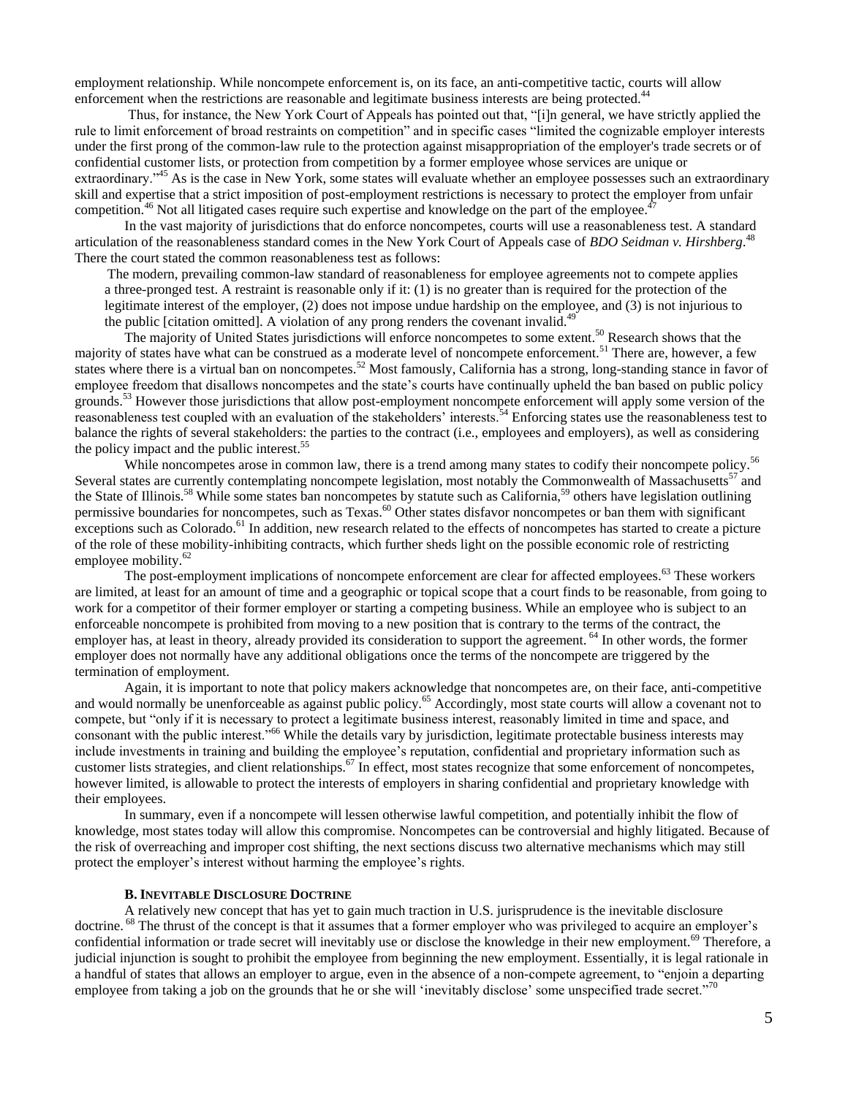employment relationship. While noncompete enforcement is, on its face, an anti-competitive tactic, courts will allow enforcement when the restrictions are reasonable and legitimate business interests are being protected.<sup>44</sup>

Thus, for instance, the New York Court of Appeals has pointed out that, "[i]n general, we have strictly applied the rule to limit enforcement of broad restraints on competition" and in specific cases "limited the cognizable employer interests under the first prong of the common-law rule to the protection against misappropriation of the employer's trade secrets or of confidential customer lists, or protection from competition by a former employee whose services are unique or extraordinary.<sup>45</sup> As is the case in New York, some states will evaluate whether an employee possesses such an extraordinary skill and expertise that a strict imposition of post-employment restrictions is necessary to protect the employer from unfair competition.<sup>46</sup> Not all litigated cases require such expertise and knowledge on the part of the employee.<sup>46</sup>

In the vast majority of jurisdictions that do enforce noncompetes, courts will use a reasonableness test. A standard articulation of the reasonableness standard comes in the New York Court of Appeals case of *BDO Seidman v. Hirshberg*. 48 There the court stated the common reasonableness test as follows:

The modern, prevailing common-law standard of reasonableness for employee agreements not to compete applies a three-pronged test. A restraint is reasonable only if it: (1) is no greater than is required for the protection of the legitimate interest of the employer, (2) does not impose undue hardship on the employee, and (3) is not injurious to the public [citation omitted]. A violation of any prong renders the covenant invalid.<sup>49</sup>

The majority of United States jurisdictions will enforce noncompetes to some extent.<sup>50</sup> Research shows that the majority of states have what can be construed as a moderate level of noncompete enforcement.<sup>51</sup> There are, however, a few states where there is a virtual ban on noncompetes.<sup>52</sup> Most famously, California has a strong, long-standing stance in favor of employee freedom that disallows noncompetes and the state's courts have continually upheld the ban based on public policy grounds.<sup>53</sup> However those jurisdictions that allow post-employment noncompete enforcement will apply some version of the reasonableness test coupled with an evaluation of the stakeholders' interests.<sup>54</sup> Enforcing states use the reasonableness test to balance the rights of several stakeholders: the parties to the contract (i.e., employees and employers), as well as considering the policy impact and the public interest.<sup>55</sup>

While noncompetes arose in common law, there is a trend among many states to codify their noncompete policy.<sup>56</sup> Several states are currently contemplating noncompete legislation, most notably the Commonwealth of Massachusetts<sup>57</sup> and the State of Illinois.<sup>58</sup> While some states ban noncompetes by statute such as California,<sup>59</sup> others have legislation outlining permissive boundaries for noncompetes, such as Texas.<sup>60</sup> Other states disfavor noncompetes or ban them with significant exceptions such as Colorado.<sup>61</sup> In addition, new research related to the effects of noncompetes has started to create a picture of the role of these mobility-inhibiting contracts, which further sheds light on the possible economic role of restricting employee mobility.<sup>62</sup>

The post-employment implications of noncompete enforcement are clear for affected employees.<sup>63</sup> These workers are limited, at least for an amount of time and a geographic or topical scope that a court finds to be reasonable, from going to work for a competitor of their former employer or starting a competing business. While an employee who is subject to an enforceable noncompete is prohibited from moving to a new position that is contrary to the terms of the contract, the employer has, at least in theory, already provided its consideration to support the agreement. <sup>64</sup> In other words, the former employer does not normally have any additional obligations once the terms of the noncompete are triggered by the termination of employment.

Again, it is important to note that policy makers acknowledge that noncompetes are, on their face, anti-competitive and would normally be unenforceable as against public policy.<sup>65</sup> Accordingly, most state courts will allow a covenant not to compete, but "only if it is necessary to protect a legitimate business interest, reasonably limited in time and space, and consonant with the public interest.<sup>566</sup> While the details vary by jurisdiction, legitimate protectable business interests may include investments in training and building the employee's reputation, confidential and proprietary information such as customer lists strategies, and client relationships.<sup>67</sup> In effect, most states recognize that some enforcement of noncompetes, however limited, is allowable to protect the interests of employers in sharing confidential and proprietary knowledge with their employees.

In summary, even if a noncompete will lessen otherwise lawful competition, and potentially inhibit the flow of knowledge, most states today will allow this compromise. Noncompetes can be controversial and highly litigated. Because of the risk of overreaching and improper cost shifting, the next sections discuss two alternative mechanisms which may still protect the employer's interest without harming the employee's rights.

# **B. INEVITABLE DISCLOSURE DOCTRINE**

A relatively new concept that has yet to gain much traction in U.S. jurisprudence is the inevitable disclosure doctrine. <sup>68</sup> The thrust of the concept is that it assumes that a former employer who was privileged to acquire an employer's confidential information or trade secret will inevitably use or disclose the knowledge in their new employment.<sup>69</sup> Therefore, a judicial injunction is sought to prohibit the employee from beginning the new employment. Essentially, it is legal rationale in a handful of states that allows an employer to argue, even in the absence of a non-compete agreement, to "enjoin a departing employee from taking a job on the grounds that he or she will 'inevitably disclose' some unspecified trade secret.<sup>70</sup>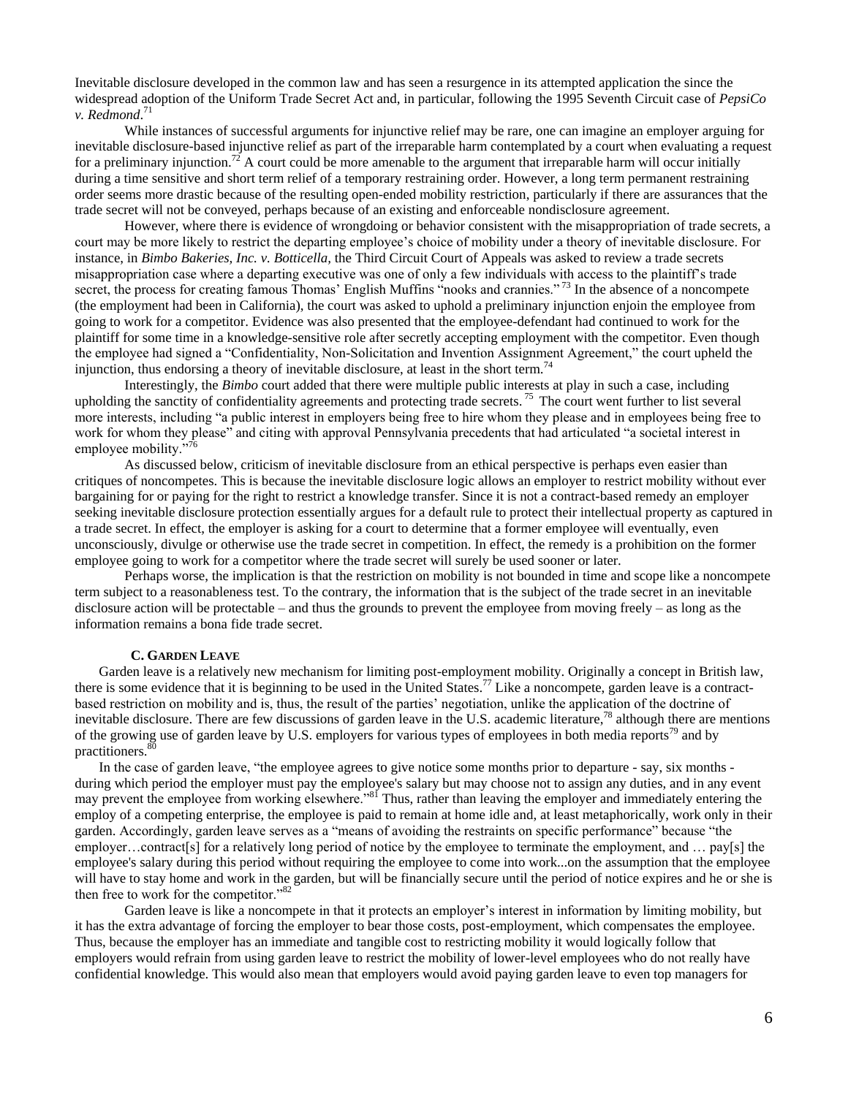Inevitable disclosure developed in the common law and has seen a resurgence in its attempted application the since the widespread adoption of the Uniform Trade Secret Act and, in particular, following the 1995 Seventh Circuit case of *PepsiCo v. Redmond*. 71

While instances of successful arguments for injunctive relief may be rare, one can imagine an employer arguing for inevitable disclosure-based injunctive relief as part of the irreparable harm contemplated by a court when evaluating a request for a preliminary injunction.<sup>72</sup> A court could be more amenable to the argument that irreparable harm will occur initially during a time sensitive and short term relief of a temporary restraining order. However, a long term permanent restraining order seems more drastic because of the resulting open-ended mobility restriction, particularly if there are assurances that the trade secret will not be conveyed, perhaps because of an existing and enforceable nondisclosure agreement.

However, where there is evidence of wrongdoing or behavior consistent with the misappropriation of trade secrets, a court may be more likely to restrict the departing employee's choice of mobility under a theory of inevitable disclosure. For instance, in *Bimbo Bakeries, Inc. v. Botticella,* the Third Circuit Court of Appeals was asked to review a trade secrets misappropriation case where a departing executive was one of only a few individuals with access to the plaintiff's trade secret, the process for creating famous Thomas' English Muffins "nooks and crannies."<sup>73</sup> In the absence of a noncompete (the employment had been in California), the court was asked to uphold a preliminary injunction enjoin the employee from going to work for a competitor. Evidence was also presented that the employee-defendant had continued to work for the plaintiff for some time in a knowledge-sensitive role after secretly accepting employment with the competitor. Even though the employee had signed a "Confidentiality, Non-Solicitation and Invention Assignment Agreement," the court upheld the injunction, thus endorsing a theory of inevitable disclosure, at least in the short term.<sup>74</sup>

Interestingly, the *Bimbo* court added that there were multiple public interests at play in such a case, including upholding the sanctity of confidentiality agreements and protecting trade secrets.  $75$  The court went further to list several more interests, including "a public interest in employers being free to hire whom they please and in employees being free to work for whom they please" and citing with approval Pennsylvania precedents that had articulated "a societal interest in employee mobility."

As discussed below, criticism of inevitable disclosure from an ethical perspective is perhaps even easier than critiques of noncompetes. This is because the inevitable disclosure logic allows an employer to restrict mobility without ever bargaining for or paying for the right to restrict a knowledge transfer. Since it is not a contract-based remedy an employer seeking inevitable disclosure protection essentially argues for a default rule to protect their intellectual property as captured in a trade secret. In effect, the employer is asking for a court to determine that a former employee will eventually, even unconsciously, divulge or otherwise use the trade secret in competition. In effect, the remedy is a prohibition on the former employee going to work for a competitor where the trade secret will surely be used sooner or later.

Perhaps worse, the implication is that the restriction on mobility is not bounded in time and scope like a noncompete term subject to a reasonableness test. To the contrary, the information that is the subject of the trade secret in an inevitable disclosure action will be protectable – and thus the grounds to prevent the employee from moving freely – as long as the information remains a bona fide trade secret.

# **C. GARDEN LEAVE**

 Garden leave is a relatively new mechanism for limiting post-employment mobility. Originally a concept in British law, there is some evidence that it is beginning to be used in the United States.<sup>77</sup> Like a noncompete, garden leave is a contractbased restriction on mobility and is, thus, the result of the parties' negotiation, unlike the application of the doctrine of inevitable disclosure. There are few discussions of garden leave in the U.S. academic literature,<sup>78</sup> although there are mentions of the growing use of garden leave by U.S. employers for various types of employees in both media reports<sup>79</sup> and by practitioners.<sup>80</sup>

In the case of garden leave, "the employee agrees to give notice some months prior to departure - say, six months during which period the employer must pay the employee's salary but may choose not to assign any duties, and in any event may prevent the employee from working elsewhere."<sup>81</sup> Thus, rather than leaving the employer and immediately entering the employ of a competing enterprise, the employee is paid to remain at home idle and, at least metaphorically, work only in their garden. Accordingly, garden leave serves as a "means of avoiding the restraints on specific performance" because "the employer…contract[s] for a relatively long period of notice by the employee to terminate the employment, and … pay[s] the employee's salary during this period without requiring the employee to come into work...on the assumption that the employee will have to stay home and work in the garden, but will be financially secure until the period of notice expires and he or she is then free to work for the competitor."<sup>82</sup>

Garden leave is like a noncompete in that it protects an employer's interest in information by limiting mobility, but it has the extra advantage of forcing the employer to bear those costs, post-employment, which compensates the employee. Thus, because the employer has an immediate and tangible cost to restricting mobility it would logically follow that employers would refrain from using garden leave to restrict the mobility of lower-level employees who do not really have confidential knowledge. This would also mean that employers would avoid paying garden leave to even top managers for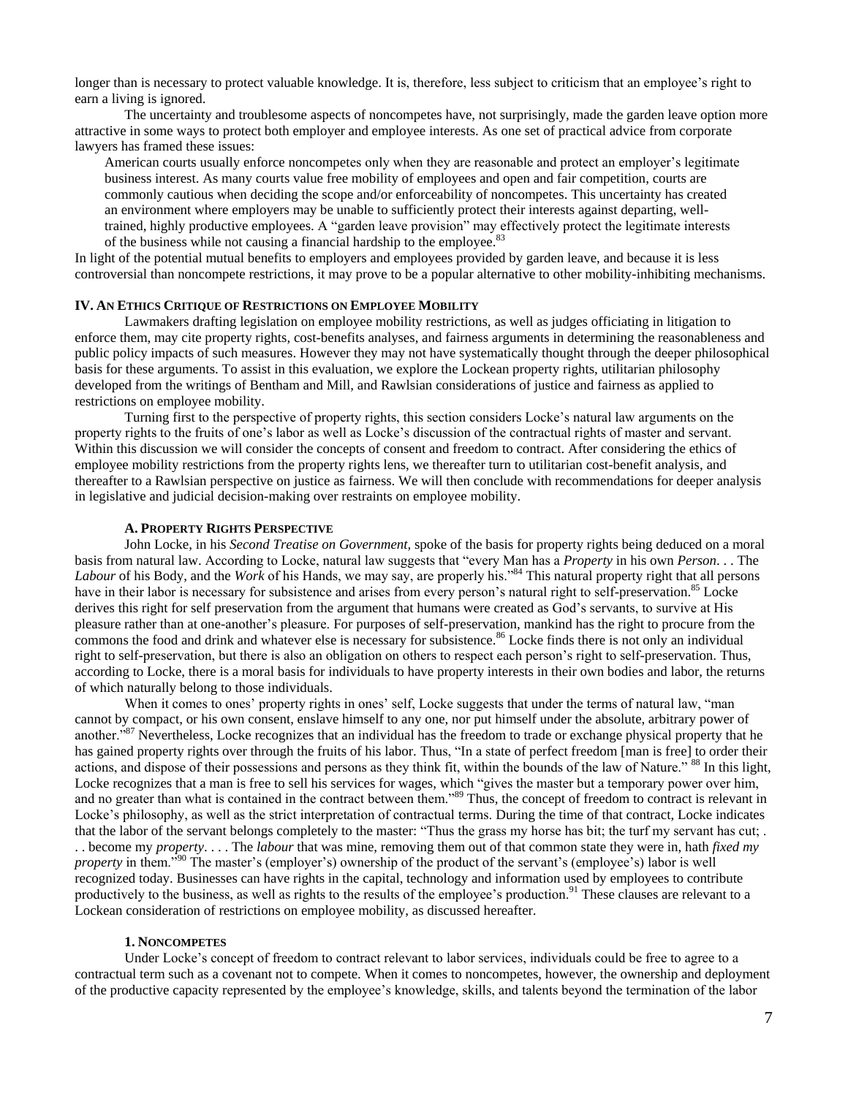longer than is necessary to protect valuable knowledge. It is, therefore, less subject to criticism that an employee's right to earn a living is ignored.

The uncertainty and troublesome aspects of noncompetes have, not surprisingly, made the garden leave option more attractive in some ways to protect both employer and employee interests. As one set of practical advice from corporate lawyers has framed these issues:

American courts usually enforce noncompetes only when they are reasonable and protect an employer's legitimate business interest. As many courts value free mobility of employees and open and fair competition, courts are commonly cautious when deciding the scope and/or enforceability of noncompetes. This uncertainty has created an environment where employers may be unable to sufficiently protect their interests against departing, welltrained, highly productive employees. A "garden leave provision" may effectively protect the legitimate interests of the business while not causing a financial hardship to the employee.<sup>83</sup>

In light of the potential mutual benefits to employers and employees provided by garden leave, and because it is less controversial than noncompete restrictions, it may prove to be a popular alternative to other mobility-inhibiting mechanisms.

### **IV. AN ETHICS CRITIQUE OF RESTRICTIONS ON EMPLOYEE MOBILITY**

Lawmakers drafting legislation on employee mobility restrictions, as well as judges officiating in litigation to enforce them, may cite property rights, cost-benefits analyses, and fairness arguments in determining the reasonableness and public policy impacts of such measures. However they may not have systematically thought through the deeper philosophical basis for these arguments. To assist in this evaluation, we explore the Lockean property rights, utilitarian philosophy developed from the writings of Bentham and Mill, and Rawlsian considerations of justice and fairness as applied to restrictions on employee mobility.

Turning first to the perspective of property rights, this section considers Locke's natural law arguments on the property rights to the fruits of one's labor as well as Locke's discussion of the contractual rights of master and servant. Within this discussion we will consider the concepts of consent and freedom to contract. After considering the ethics of employee mobility restrictions from the property rights lens, we thereafter turn to utilitarian cost-benefit analysis, and thereafter to a Rawlsian perspective on justice as fairness. We will then conclude with recommendations for deeper analysis in legislative and judicial decision-making over restraints on employee mobility.

## **A. PROPERTY RIGHTS PERSPECTIVE**

John Locke, in his *Second Treatise on Government,* spoke of the basis for property rights being deduced on a moral basis from natural law. According to Locke, natural law suggests that "every Man has a *Property* in his own *Person*... The *Labour* of his Body, and the *Work* of his Hands, we may say, are properly his."<sup>84</sup> This natural property right that all persons have in their labor is necessary for subsistence and arises from every person's natural right to self-preservation.<sup>85</sup> Locke derives this right for self preservation from the argument that humans were created as God's servants, to survive at His pleasure rather than at one-another's pleasure. For purposes of self-preservation, mankind has the right to procure from the commons the food and drink and whatever else is necessary for subsistence.<sup>86</sup> Locke finds there is not only an individual right to self-preservation, but there is also an obligation on others to respect each person's right to self-preservation. Thus, according to Locke, there is a moral basis for individuals to have property interests in their own bodies and labor, the returns of which naturally belong to those individuals.

When it comes to ones' property rights in ones' self, Locke suggests that under the terms of natural law, "man cannot by compact, or his own consent, enslave himself to any one, nor put himself under the absolute, arbitrary power of another.<sup>87</sup> Nevertheless, Locke recognizes that an individual has the freedom to trade or exchange physical property that he has gained property rights over through the fruits of his labor. Thus, "In a state of perfect freedom [man is free] to order their actions, and dispose of their possessions and persons as they think fit, within the bounds of the law of Nature." <sup>88</sup> In this light, Locke recognizes that a man is free to sell his services for wages, which "gives the master but a temporary power over him, and no greater than what is contained in the contract between them."<sup>89</sup> Thus, the concept of freedom to contract is relevant in Locke's philosophy, as well as the strict interpretation of contractual terms. During the time of that contract, Locke indicates that the labor of the servant belongs completely to the master: "Thus the grass my horse has bit; the turf my servant has cut; . . . become my *property*. . . . The *labour* that was mine, removing them out of that common state they were in, hath *fixed my property* in them."<sup>90</sup> The master's (employer's) ownership of the product of the servant's (employee's) labor is well recognized today. Businesses can have rights in the capital, technology and information used by employees to contribute productively to the business, as well as rights to the results of the employee's production.<sup>91</sup> These clauses are relevant to a Lockean consideration of restrictions on employee mobility, as discussed hereafter.

## **1. NONCOMPETES**

Under Locke's concept of freedom to contract relevant to labor services, individuals could be free to agree to a contractual term such as a covenant not to compete. When it comes to noncompetes, however, the ownership and deployment of the productive capacity represented by the employee's knowledge, skills, and talents beyond the termination of the labor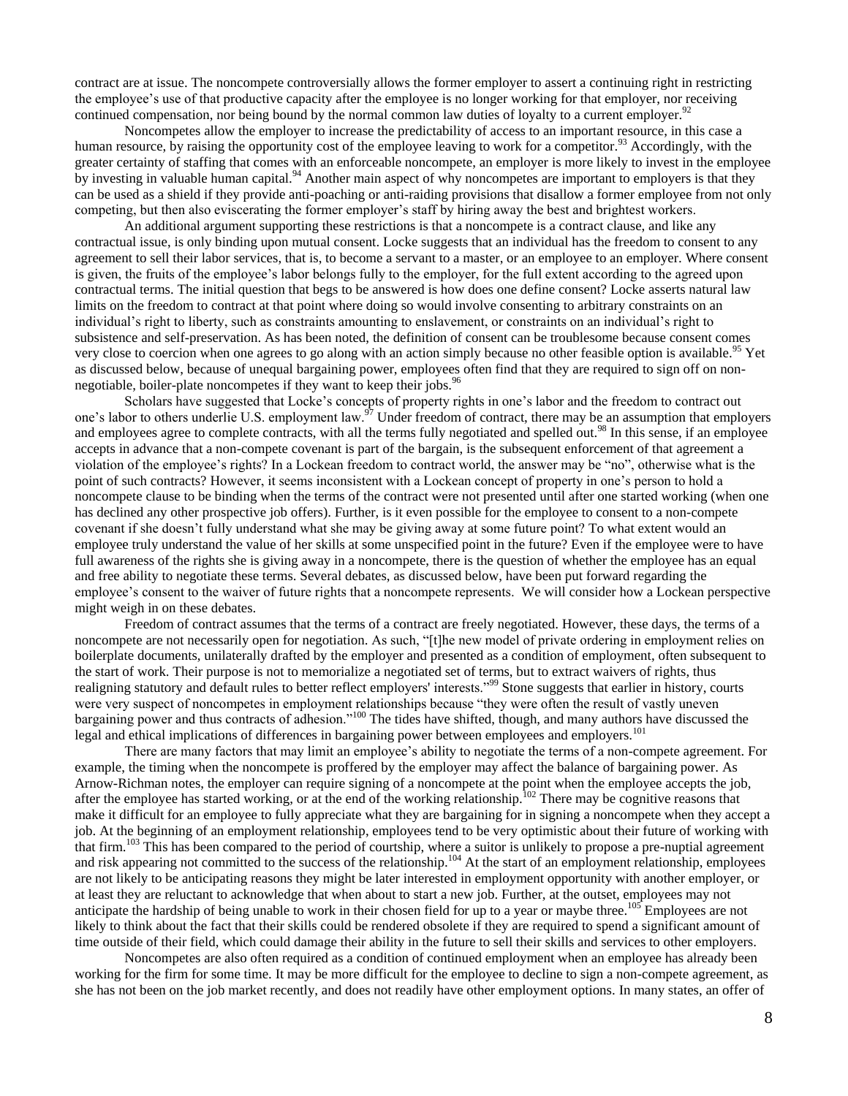contract are at issue. The noncompete controversially allows the former employer to assert a continuing right in restricting the employee's use of that productive capacity after the employee is no longer working for that employer, nor receiving continued compensation, nor being bound by the normal common law duties of loyalty to a current employer.<sup>92</sup>

Noncompetes allow the employer to increase the predictability of access to an important resource, in this case a human resource, by raising the opportunity cost of the employee leaving to work for a competitor.<sup>93</sup> Accordingly, with the greater certainty of staffing that comes with an enforceable noncompete, an employer is more likely to invest in the employee by investing in valuable human capital.<sup>94</sup> Another main aspect of why noncompetes are important to employers is that they can be used as a shield if they provide anti-poaching or anti-raiding provisions that disallow a former employee from not only competing, but then also eviscerating the former employer's staff by hiring away the best and brightest workers.

An additional argument supporting these restrictions is that a noncompete is a contract clause, and like any contractual issue, is only binding upon mutual consent. Locke suggests that an individual has the freedom to consent to any agreement to sell their labor services, that is, to become a servant to a master, or an employee to an employer. Where consent is given, the fruits of the employee's labor belongs fully to the employer, for the full extent according to the agreed upon contractual terms. The initial question that begs to be answered is how does one define consent? Locke asserts natural law limits on the freedom to contract at that point where doing so would involve consenting to arbitrary constraints on an individual's right to liberty, such as constraints amounting to enslavement, or constraints on an individual's right to subsistence and self-preservation. As has been noted, the definition of consent can be troublesome because consent comes very close to coercion when one agrees to go along with an action simply because no other feasible option is available.<sup>95</sup> Yet as discussed below, because of unequal bargaining power, employees often find that they are required to sign off on nonnegotiable, boiler-plate noncompetes if they want to keep their jobs.<sup>96</sup>

Scholars have suggested that Locke's concepts of property rights in one's labor and the freedom to contract out one's labor to others underlie U.S. employment law.<sup>97</sup> Under freedom of contract, there may be an assumption that employers and employees agree to complete contracts, with all the terms fully negotiated and spelled out.<sup>98</sup> In this sense, if an employee accepts in advance that a non-compete covenant is part of the bargain, is the subsequent enforcement of that agreement a violation of the employee's rights? In a Lockean freedom to contract world, the answer may be "no", otherwise what is the point of such contracts? However, it seems inconsistent with a Lockean concept of property in one's person to hold a noncompete clause to be binding when the terms of the contract were not presented until after one started working (when one has declined any other prospective job offers). Further, is it even possible for the employee to consent to a non-compete covenant if she doesn't fully understand what she may be giving away at some future point? To what extent would an employee truly understand the value of her skills at some unspecified point in the future? Even if the employee were to have full awareness of the rights she is giving away in a noncompete, there is the question of whether the employee has an equal and free ability to negotiate these terms. Several debates, as discussed below, have been put forward regarding the employee's consent to the waiver of future rights that a noncompete represents. We will consider how a Lockean perspective might weigh in on these debates.

Freedom of contract assumes that the terms of a contract are freely negotiated. However, these days, the terms of a noncompete are not necessarily open for negotiation. As such, "[t]he new model of private ordering in employment relies on boilerplate documents, unilaterally drafted by the employer and presented as a condition of employment, often subsequent to the start of work. Their purpose is not to memorialize a negotiated set of terms, but to extract waivers of rights, thus realigning statutory and default rules to better reflect employers' interests."<sup>99</sup> Stone suggests that earlier in history, courts were very suspect of noncompetes in employment relationships because "they were often the result of vastly uneven bargaining power and thus contracts of adhesion.<sup>100</sup> The tides have shifted, though, and many authors have discussed the legal and ethical implications of differences in bargaining power between employees and employers.<sup>101</sup>

There are many factors that may limit an employee's ability to negotiate the terms of a non-compete agreement. For example, the timing when the noncompete is proffered by the employer may affect the balance of bargaining power. As Arnow-Richman notes, the employer can require signing of a noncompete at the point when the employee accepts the job, after the employee has started working, or at the end of the working relationship.<sup>102</sup> There may be cognitive reasons that make it difficult for an employee to fully appreciate what they are bargaining for in signing a noncompete when they accept a job. At the beginning of an employment relationship, employees tend to be very optimistic about their future of working with that firm.<sup>103</sup> This has been compared to the period of courtship, where a suitor is unlikely to propose a pre-nuptial agreement and risk appearing not committed to the success of the relationship.<sup>104</sup> At the start of an employment relationship, employees are not likely to be anticipating reasons they might be later interested in employment opportunity with another employer, or at least they are reluctant to acknowledge that when about to start a new job. Further, at the outset, employees may not anticipate the hardship of being unable to work in their chosen field for up to a year or maybe three.<sup>105</sup> Employees are not likely to think about the fact that their skills could be rendered obsolete if they are required to spend a significant amount of time outside of their field, which could damage their ability in the future to sell their skills and services to other employers.

Noncompetes are also often required as a condition of continued employment when an employee has already been working for the firm for some time. It may be more difficult for the employee to decline to sign a non-compete agreement, as she has not been on the job market recently, and does not readily have other employment options. In many states, an offer of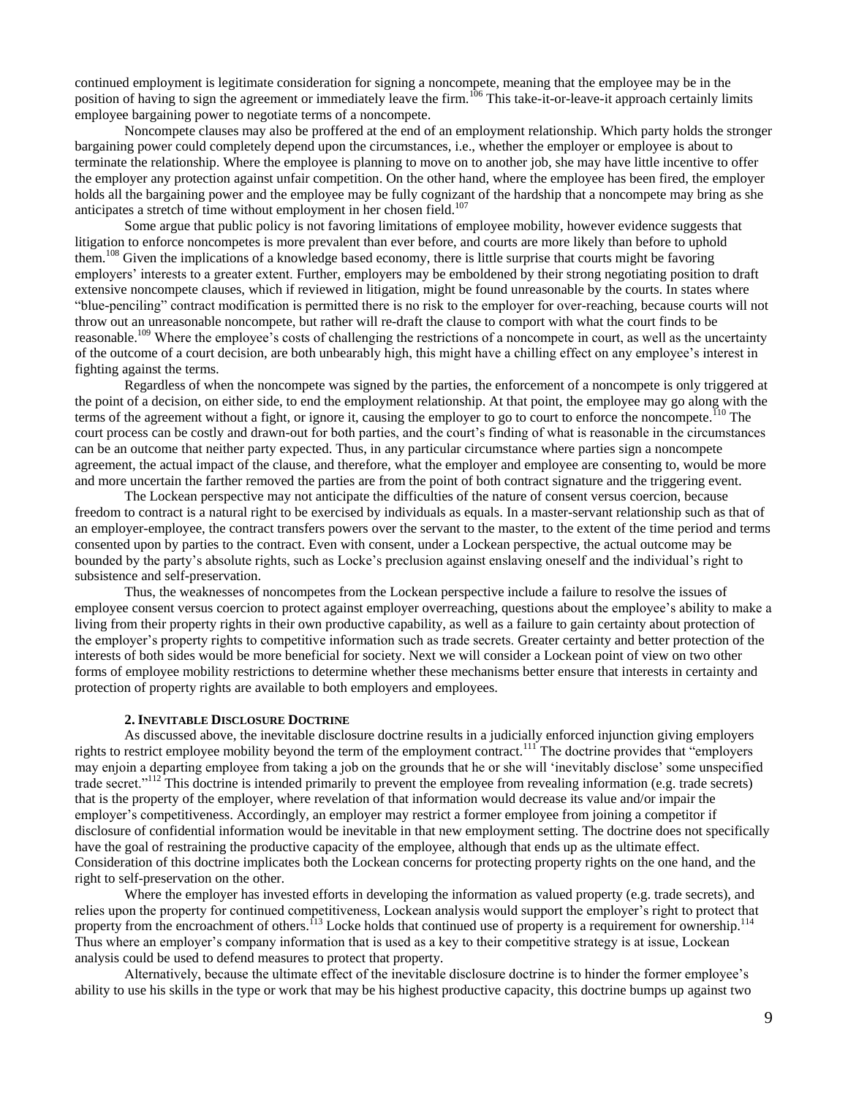continued employment is legitimate consideration for signing a noncompete, meaning that the employee may be in the position of having to sign the agreement or immediately leave the firm.<sup>106</sup> This take-it-or-leave-it approach certainly limits employee bargaining power to negotiate terms of a noncompete.

Noncompete clauses may also be proffered at the end of an employment relationship. Which party holds the stronger bargaining power could completely depend upon the circumstances, i.e., whether the employer or employee is about to terminate the relationship. Where the employee is planning to move on to another job, she may have little incentive to offer the employer any protection against unfair competition. On the other hand, where the employee has been fired, the employer holds all the bargaining power and the employee may be fully cognizant of the hardship that a noncompete may bring as she anticipates a stretch of time without employment in her chosen field.<sup>107</sup>

Some argue that public policy is not favoring limitations of employee mobility, however evidence suggests that litigation to enforce noncompetes is more prevalent than ever before, and courts are more likely than before to uphold them.<sup>108</sup> Given the implications of a knowledge based economy, there is little surprise that courts might be favoring employers' interests to a greater extent. Further, employers may be emboldened by their strong negotiating position to draft extensive noncompete clauses, which if reviewed in litigation, might be found unreasonable by the courts. In states where "blue-penciling" contract modification is permitted there is no risk to the employer for over-reaching, because courts will not throw out an unreasonable noncompete, but rather will re-draft the clause to comport with what the court finds to be reasonable.<sup>109</sup> Where the employee's costs of challenging the restrictions of a noncompete in court, as well as the uncertainty of the outcome of a court decision, are both unbearably high, this might have a chilling effect on any employee's interest in fighting against the terms.

Regardless of when the noncompete was signed by the parties, the enforcement of a noncompete is only triggered at the point of a decision, on either side, to end the employment relationship. At that point, the employee may go along with the terms of the agreement without a fight, or ignore it, causing the employer to go to court to enforce the noncompete.<sup>110</sup> The court process can be costly and drawn-out for both parties, and the court's finding of what is reasonable in the circumstances can be an outcome that neither party expected. Thus, in any particular circumstance where parties sign a noncompete agreement, the actual impact of the clause, and therefore, what the employer and employee are consenting to, would be more and more uncertain the farther removed the parties are from the point of both contract signature and the triggering event.

The Lockean perspective may not anticipate the difficulties of the nature of consent versus coercion, because freedom to contract is a natural right to be exercised by individuals as equals. In a master-servant relationship such as that of an employer-employee, the contract transfers powers over the servant to the master, to the extent of the time period and terms consented upon by parties to the contract. Even with consent, under a Lockean perspective, the actual outcome may be bounded by the party's absolute rights, such as Locke's preclusion against enslaving oneself and the individual's right to subsistence and self-preservation.

Thus, the weaknesses of noncompetes from the Lockean perspective include a failure to resolve the issues of employee consent versus coercion to protect against employer overreaching, questions about the employee's ability to make a living from their property rights in their own productive capability, as well as a failure to gain certainty about protection of the employer's property rights to competitive information such as trade secrets. Greater certainty and better protection of the interests of both sides would be more beneficial for society. Next we will consider a Lockean point of view on two other forms of employee mobility restrictions to determine whether these mechanisms better ensure that interests in certainty and protection of property rights are available to both employers and employees.

## **2. INEVITABLE DISCLOSURE DOCTRINE**

As discussed above, the inevitable disclosure doctrine results in a judicially enforced injunction giving employers rights to restrict employee mobility beyond the term of the employment contract.<sup>111</sup> The doctrine provides that "employers" may enjoin a departing employee from taking a job on the grounds that he or she will ‗inevitably disclose' some unspecified trade secret."<sup>112</sup> This doctrine is intended primarily to prevent the employee from revealing information (e.g. trade secrets) that is the property of the employer, where revelation of that information would decrease its value and/or impair the employer's competitiveness. Accordingly, an employer may restrict a former employee from joining a competitor if disclosure of confidential information would be inevitable in that new employment setting. The doctrine does not specifically have the goal of restraining the productive capacity of the employee, although that ends up as the ultimate effect. Consideration of this doctrine implicates both the Lockean concerns for protecting property rights on the one hand, and the right to self-preservation on the other.

Where the employer has invested efforts in developing the information as valued property (e.g. trade secrets), and relies upon the property for continued competitiveness, Lockean analysis would support the employer's right to protect that property from the encroachment of others.<sup>113</sup> Locke holds that continued use of property is a requirement for ownership.<sup>114</sup> Thus where an employer's company information that is used as a key to their competitive strategy is at issue, Lockean analysis could be used to defend measures to protect that property.

Alternatively, because the ultimate effect of the inevitable disclosure doctrine is to hinder the former employee's ability to use his skills in the type or work that may be his highest productive capacity, this doctrine bumps up against two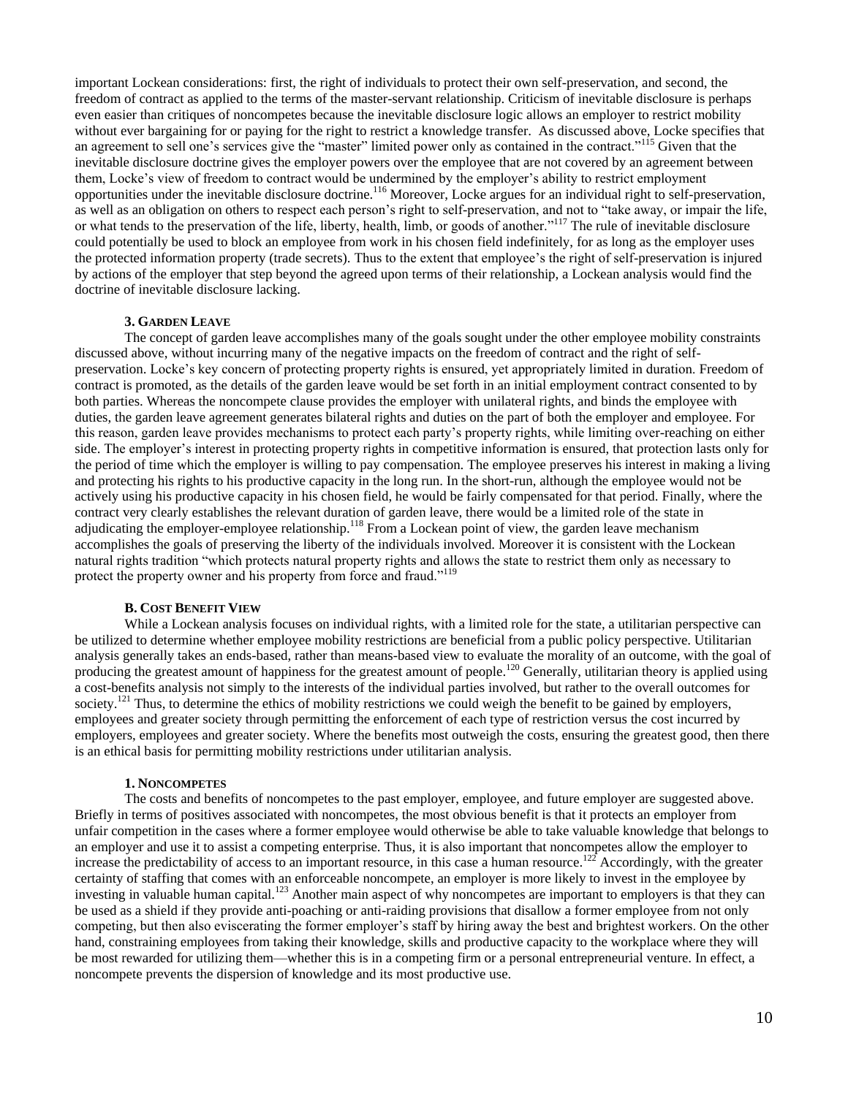important Lockean considerations: first, the right of individuals to protect their own self-preservation, and second, the freedom of contract as applied to the terms of the master-servant relationship. Criticism of inevitable disclosure is perhaps even easier than critiques of noncompetes because the inevitable disclosure logic allows an employer to restrict mobility without ever bargaining for or paying for the right to restrict a knowledge transfer. As discussed above, Locke specifies that an agreement to sell one's services give the "master" limited power only as contained in the contract."<sup>115</sup> Given that the inevitable disclosure doctrine gives the employer powers over the employee that are not covered by an agreement between them, Locke's view of freedom to contract would be undermined by the employer's ability to restrict employment opportunities under the inevitable disclosure doctrine.<sup>116</sup> Moreover, Locke argues for an individual right to self-preservation, as well as an obligation on others to respect each person's right to self-preservation, and not to "take away, or impair the life, or what tends to the preservation of the life, liberty, health, limb, or goods of another."<sup>117</sup> The rule of inevitable disclosure could potentially be used to block an employee from work in his chosen field indefinitely, for as long as the employer uses the protected information property (trade secrets). Thus to the extent that employee's the right of self-preservation is injured by actions of the employer that step beyond the agreed upon terms of their relationship, a Lockean analysis would find the doctrine of inevitable disclosure lacking.

#### **3. GARDEN LEAVE**

The concept of garden leave accomplishes many of the goals sought under the other employee mobility constraints discussed above, without incurring many of the negative impacts on the freedom of contract and the right of selfpreservation. Locke's key concern of protecting property rights is ensured, yet appropriately limited in duration. Freedom of contract is promoted, as the details of the garden leave would be set forth in an initial employment contract consented to by both parties. Whereas the noncompete clause provides the employer with unilateral rights, and binds the employee with duties, the garden leave agreement generates bilateral rights and duties on the part of both the employer and employee. For this reason, garden leave provides mechanisms to protect each party's property rights, while limiting over-reaching on either side. The employer's interest in protecting property rights in competitive information is ensured, that protection lasts only for the period of time which the employer is willing to pay compensation. The employee preserves his interest in making a living and protecting his rights to his productive capacity in the long run. In the short-run, although the employee would not be actively using his productive capacity in his chosen field, he would be fairly compensated for that period. Finally, where the contract very clearly establishes the relevant duration of garden leave, there would be a limited role of the state in adjudicating the employer-employee relationship.<sup>118</sup> From a Lockean point of view, the garden leave mechanism accomplishes the goals of preserving the liberty of the individuals involved. Moreover it is consistent with the Lockean natural rights tradition "which protects natural property rights and allows the state to restrict them only as necessary to protect the property owner and his property from force and fraud."<sup>119</sup>

# **B. COST BENEFIT VIEW**

While a Lockean analysis focuses on individual rights, with a limited role for the state, a utilitarian perspective can be utilized to determine whether employee mobility restrictions are beneficial from a public policy perspective. Utilitarian analysis generally takes an ends-based, rather than means-based view to evaluate the morality of an outcome, with the goal of producing the greatest amount of happiness for the greatest amount of people.<sup>120</sup> Generally, utilitarian theory is applied using a cost-benefits analysis not simply to the interests of the individual parties involved, but rather to the overall outcomes for society.<sup>121</sup> Thus, to determine the ethics of mobility restrictions we could weigh the benefit to be gained by employers, employees and greater society through permitting the enforcement of each type of restriction versus the cost incurred by employers, employees and greater society. Where the benefits most outweigh the costs, ensuring the greatest good, then there is an ethical basis for permitting mobility restrictions under utilitarian analysis.

## **1. NONCOMPETES**

The costs and benefits of noncompetes to the past employer, employee, and future employer are suggested above. Briefly in terms of positives associated with noncompetes, the most obvious benefit is that it protects an employer from unfair competition in the cases where a former employee would otherwise be able to take valuable knowledge that belongs to an employer and use it to assist a competing enterprise. Thus, it is also important that noncompetes allow the employer to increase the predictability of access to an important resource, in this case a human resource.<sup>122</sup> Accordingly, with the greater certainty of staffing that comes with an enforceable noncompete, an employer is more likely to invest in the employee by investing in valuable human capital.<sup>123</sup> Another main aspect of why noncompetes are important to employers is that they can be used as a shield if they provide anti-poaching or anti-raiding provisions that disallow a former employee from not only competing, but then also eviscerating the former employer's staff by hiring away the best and brightest workers. On the other hand, constraining employees from taking their knowledge, skills and productive capacity to the workplace where they will be most rewarded for utilizing them—whether this is in a competing firm or a personal entrepreneurial venture. In effect, a noncompete prevents the dispersion of knowledge and its most productive use.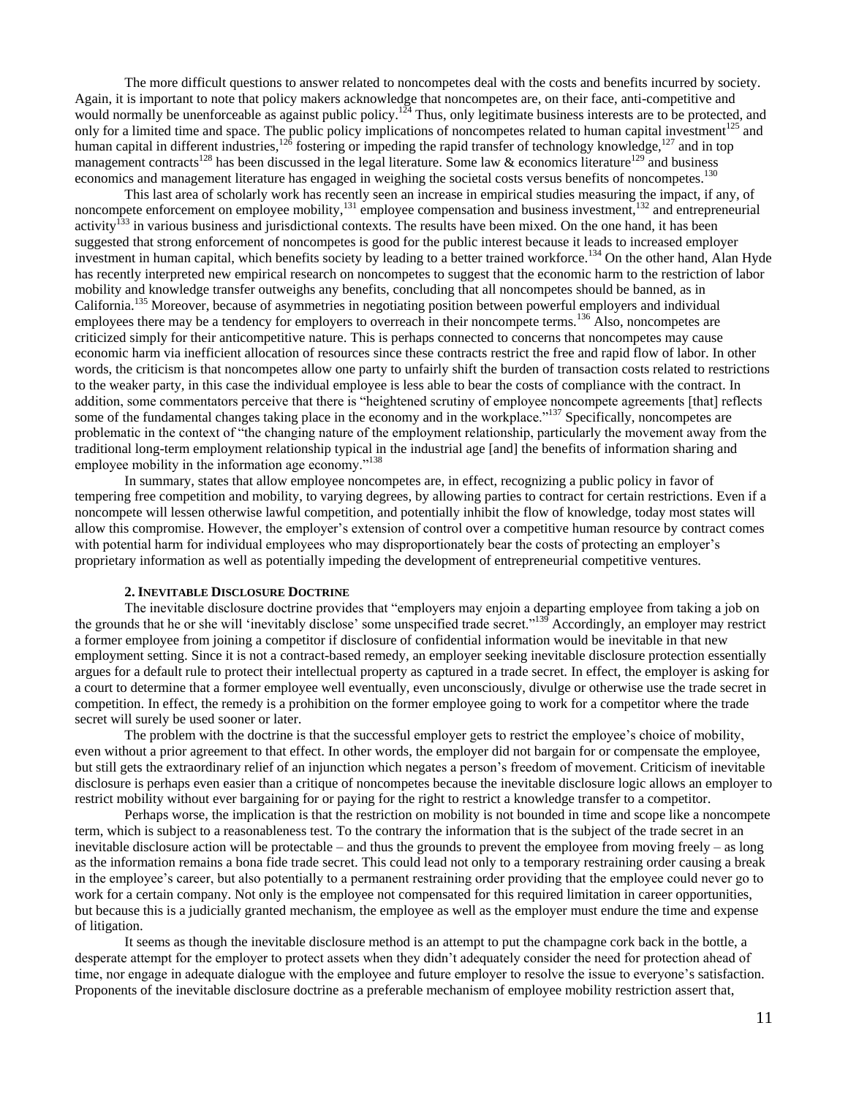The more difficult questions to answer related to noncompetes deal with the costs and benefits incurred by society. Again, it is important to note that policy makers acknowledge that noncompetes are, on their face, anti-competitive and would normally be unenforceable as against public policy.<sup>124</sup> Thus, only legitimate business interests are to be protected, and only for a limited time and space. The public policy implications of noncompetes related to human capital investment $125$  and human capital in different industries,<sup>126</sup> fostering or impeding the rapid transfer of technology knowledge,<sup>127</sup> and in top management contracts<sup>128</sup> has been discussed in the legal literature. Some law & economics literature<sup>129</sup> and business economics and management literature has engaged in weighing the societal costs versus benefits of noncompetes.<sup>130</sup>

This last area of scholarly work has recently seen an increase in empirical studies measuring the impact, if any, of noncompete enforcement on employee mobility,<sup>131</sup> employee compensation and business investment,<sup>132</sup> and entrepreneurial activity<sup>133</sup> in various business and jurisdictional contexts. The results have been mixed. On the one hand, it has been suggested that strong enforcement of noncompetes is good for the public interest because it leads to increased employer investment in human capital, which benefits society by leading to a better trained workforce.<sup>134</sup> On the other hand, Alan Hyde has recently interpreted new empirical research on noncompetes to suggest that the economic harm to the restriction of labor mobility and knowledge transfer outweighs any benefits, concluding that all noncompetes should be banned, as in California.<sup>135</sup> Moreover, because of asymmetries in negotiating position between powerful employers and individual employees there may be a tendency for employers to overreach in their noncompete terms.<sup>136</sup> Also, noncompetes are criticized simply for their anticompetitive nature. This is perhaps connected to concerns that noncompetes may cause economic harm via inefficient allocation of resources since these contracts restrict the free and rapid flow of labor. In other words, the criticism is that noncompetes allow one party to unfairly shift the burden of transaction costs related to restrictions to the weaker party, in this case the individual employee is less able to bear the costs of compliance with the contract. In addition, some commentators perceive that there is "heightened scrutiny of employee noncompete agreements [that] reflects some of the fundamental changes taking place in the economy and in the workplace."<sup>137</sup> Specifically, noncompetes are problematic in the context of "the changing nature of the employment relationship, particularly the movement away from the traditional long-term employment relationship typical in the industrial age [and] the benefits of information sharing and employee mobility in the information age economy."<sup>138</sup>

In summary, states that allow employee noncompetes are, in effect, recognizing a public policy in favor of tempering free competition and mobility, to varying degrees, by allowing parties to contract for certain restrictions. Even if a noncompete will lessen otherwise lawful competition, and potentially inhibit the flow of knowledge, today most states will allow this compromise. However, the employer's extension of control over a competitive human resource by contract comes with potential harm for individual employees who may disproportionately bear the costs of protecting an employer's proprietary information as well as potentially impeding the development of entrepreneurial competitive ventures.

## **2. INEVITABLE DISCLOSURE DOCTRINE**

The inevitable disclosure doctrine provides that "employers may enjoin a departing employee from taking a job on the grounds that he or she will 'inevitably disclose' some unspecified trade secret."<sup>139</sup> Accordingly, an employer may restrict a former employee from joining a competitor if disclosure of confidential information would be inevitable in that new employment setting. Since it is not a contract-based remedy, an employer seeking inevitable disclosure protection essentially argues for a default rule to protect their intellectual property as captured in a trade secret. In effect, the employer is asking for a court to determine that a former employee well eventually, even unconsciously, divulge or otherwise use the trade secret in competition. In effect, the remedy is a prohibition on the former employee going to work for a competitor where the trade secret will surely be used sooner or later.

The problem with the doctrine is that the successful employer gets to restrict the employee's choice of mobility, even without a prior agreement to that effect. In other words, the employer did not bargain for or compensate the employee, but still gets the extraordinary relief of an injunction which negates a person's freedom of movement. Criticism of inevitable disclosure is perhaps even easier than a critique of noncompetes because the inevitable disclosure logic allows an employer to restrict mobility without ever bargaining for or paying for the right to restrict a knowledge transfer to a competitor.

Perhaps worse, the implication is that the restriction on mobility is not bounded in time and scope like a noncompete term, which is subject to a reasonableness test. To the contrary the information that is the subject of the trade secret in an inevitable disclosure action will be protectable – and thus the grounds to prevent the employee from moving freely – as long as the information remains a bona fide trade secret. This could lead not only to a temporary restraining order causing a break in the employee's career, but also potentially to a permanent restraining order providing that the employee could never go to work for a certain company. Not only is the employee not compensated for this required limitation in career opportunities, but because this is a judicially granted mechanism, the employee as well as the employer must endure the time and expense of litigation.

It seems as though the inevitable disclosure method is an attempt to put the champagne cork back in the bottle, a desperate attempt for the employer to protect assets when they didn't adequately consider the need for protection ahead of time, nor engage in adequate dialogue with the employee and future employer to resolve the issue to everyone's satisfaction. Proponents of the inevitable disclosure doctrine as a preferable mechanism of employee mobility restriction assert that,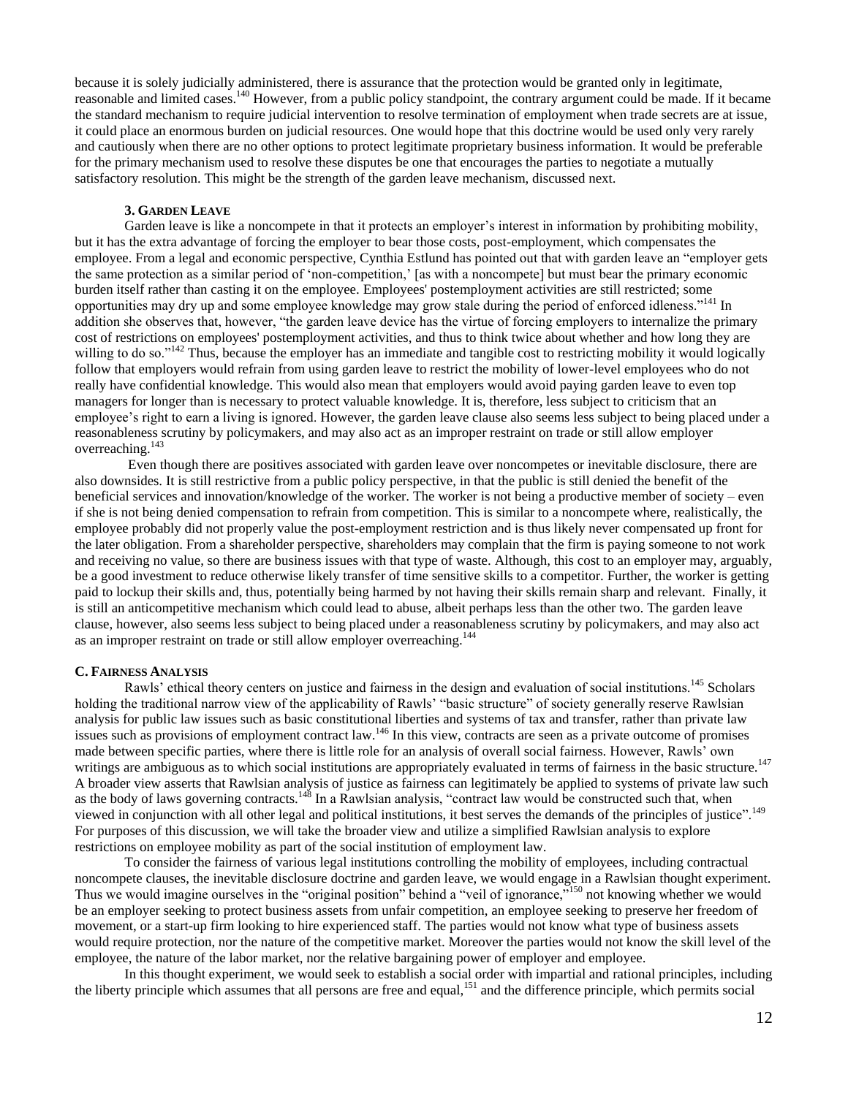because it is solely judicially administered, there is assurance that the protection would be granted only in legitimate, reasonable and limited cases.<sup>140</sup> However, from a public policy standpoint, the contrary argument could be made. If it became the standard mechanism to require judicial intervention to resolve termination of employment when trade secrets are at issue, it could place an enormous burden on judicial resources. One would hope that this doctrine would be used only very rarely and cautiously when there are no other options to protect legitimate proprietary business information. It would be preferable for the primary mechanism used to resolve these disputes be one that encourages the parties to negotiate a mutually satisfactory resolution. This might be the strength of the garden leave mechanism, discussed next.

## **3. GARDEN LEAVE**

Garden leave is like a noncompete in that it protects an employer's interest in information by prohibiting mobility, but it has the extra advantage of forcing the employer to bear those costs, post-employment, which compensates the employee. From a legal and economic perspective, Cynthia Estlund has pointed out that with garden leave an "employer gets the same protection as a similar period of 'non-competition,' [as with a noncompete] but must bear the primary economic burden itself rather than casting it on the employee. Employees' postemployment activities are still restricted; some opportunities may dry up and some employee knowledge may grow stale during the period of enforced idleness."<sup>141</sup> In addition she observes that, however, "the garden leave device has the virtue of forcing employers to internalize the primary cost of restrictions on employees' postemployment activities, and thus to think twice about whether and how long they are willing to do so.<sup>n142</sup> Thus, because the employer has an immediate and tangible cost to restricting mobility it would logically follow that employers would refrain from using garden leave to restrict the mobility of lower-level employees who do not really have confidential knowledge. This would also mean that employers would avoid paying garden leave to even top managers for longer than is necessary to protect valuable knowledge. It is, therefore, less subject to criticism that an employee's right to earn a living is ignored. However, the garden leave clause also seems less subject to being placed under a reasonableness scrutiny by policymakers, and may also act as an improper restraint on trade or still allow employer overreaching.<sup>143</sup>

Even though there are positives associated with garden leave over noncompetes or inevitable disclosure, there are also downsides. It is still restrictive from a public policy perspective, in that the public is still denied the benefit of the beneficial services and innovation/knowledge of the worker. The worker is not being a productive member of society – even if she is not being denied compensation to refrain from competition. This is similar to a noncompete where, realistically, the employee probably did not properly value the post-employment restriction and is thus likely never compensated up front for the later obligation. From a shareholder perspective, shareholders may complain that the firm is paying someone to not work and receiving no value, so there are business issues with that type of waste. Although, this cost to an employer may, arguably, be a good investment to reduce otherwise likely transfer of time sensitive skills to a competitor. Further, the worker is getting paid to lockup their skills and, thus, potentially being harmed by not having their skills remain sharp and relevant. Finally, it is still an anticompetitive mechanism which could lead to abuse, albeit perhaps less than the other two. The garden leave clause, however, also seems less subject to being placed under a reasonableness scrutiny by policymakers, and may also act as an improper restraint on trade or still allow employer overreaching.<sup>144</sup>

## **C. FAIRNESS ANALYSIS**

Rawls' ethical theory centers on justice and fairness in the design and evaluation of social institutions.<sup>145</sup> Scholars holding the traditional narrow view of the applicability of Rawls' "basic structure" of society generally reserve Rawlsian analysis for public law issues such as basic constitutional liberties and systems of tax and transfer, rather than private law issues such as provisions of employment contract law.<sup>146</sup> In this view, contracts are seen as a private outcome of promises made between specific parties, where there is little role for an analysis of overall social fairness. However, Rawls' own writings are ambiguous as to which social institutions are appropriately evaluated in terms of fairness in the basic structure.<sup>147</sup> A broader view asserts that Rawlsian analysis of justice as fairness can legitimately be applied to systems of private law such as the body of laws governing contracts.<sup>148</sup> In a Rawlsian analysis, "contract law would be constructed such that, when viewed in conjunction with all other legal and political institutions, it best serves the demands of the principles of justice".<sup>149</sup> For purposes of this discussion, we will take the broader view and utilize a simplified Rawlsian analysis to explore restrictions on employee mobility as part of the social institution of employment law.

To consider the fairness of various legal institutions controlling the mobility of employees, including contractual noncompete clauses, the inevitable disclosure doctrine and garden leave, we would engage in a Rawlsian thought experiment. Thus we would imagine ourselves in the "original position" behind a "veil of ignorance,"<sup>150</sup> not knowing whether we would be an employer seeking to protect business assets from unfair competition, an employee seeking to preserve her freedom of movement, or a start-up firm looking to hire experienced staff. The parties would not know what type of business assets would require protection, nor the nature of the competitive market. Moreover the parties would not know the skill level of the employee, the nature of the labor market, nor the relative bargaining power of employer and employee.

In this thought experiment, we would seek to establish a social order with impartial and rational principles, including the liberty principle which assumes that all persons are free and equal,<sup>151</sup> and the difference principle, which permits social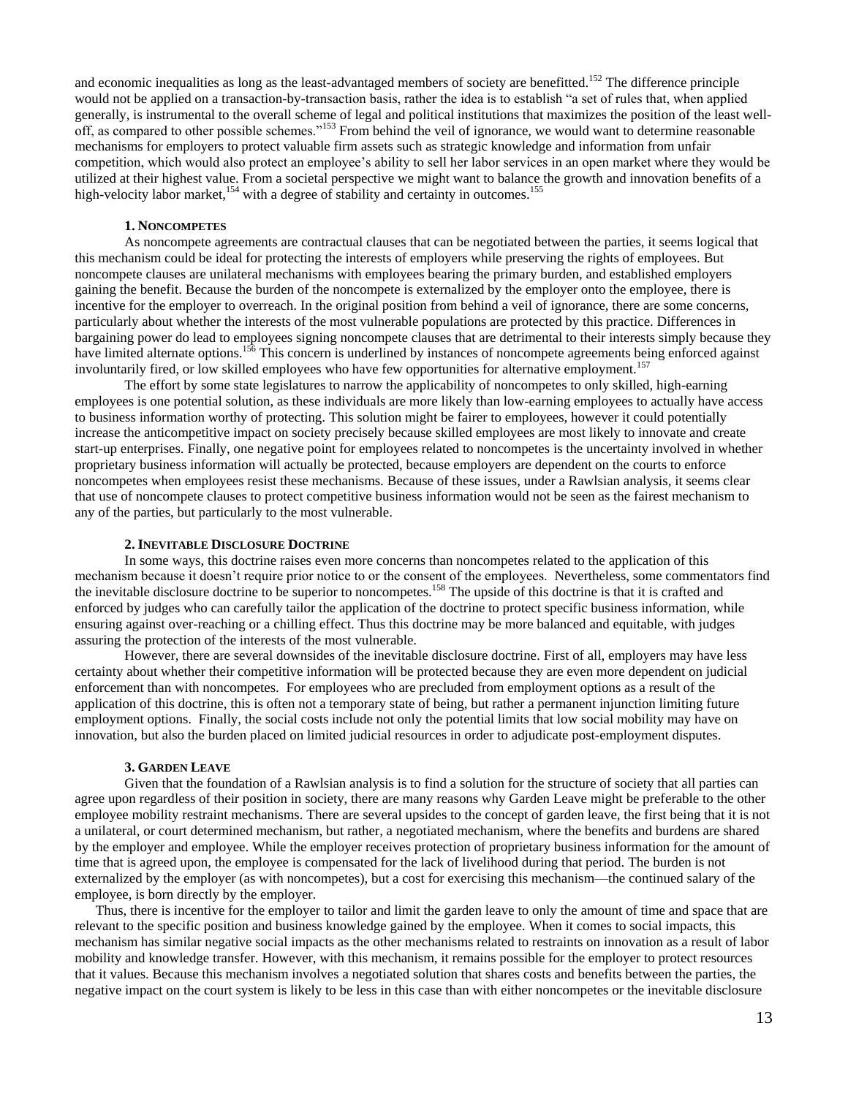and economic inequalities as long as the least-advantaged members of society are benefitted.<sup>152</sup> The difference principle would not be applied on a transaction-by-transaction basis, rather the idea is to establish "a set of rules that, when applied generally, is instrumental to the overall scheme of legal and political institutions that maximizes the position of the least welloff, as compared to other possible schemes."<sup>153</sup> From behind the veil of ignorance, we would want to determine reasonable mechanisms for employers to protect valuable firm assets such as strategic knowledge and information from unfair competition, which would also protect an employee's ability to sell her labor services in an open market where they would be utilized at their highest value. From a societal perspective we might want to balance the growth and innovation benefits of a high-velocity labor market,<sup>154</sup> with a degree of stability and certainty in outcomes.<sup>155</sup>

#### **1. NONCOMPETES**

As noncompete agreements are contractual clauses that can be negotiated between the parties, it seems logical that this mechanism could be ideal for protecting the interests of employers while preserving the rights of employees. But noncompete clauses are unilateral mechanisms with employees bearing the primary burden, and established employers gaining the benefit. Because the burden of the noncompete is externalized by the employer onto the employee, there is incentive for the employer to overreach. In the original position from behind a veil of ignorance, there are some concerns, particularly about whether the interests of the most vulnerable populations are protected by this practice. Differences in bargaining power do lead to employees signing noncompete clauses that are detrimental to their interests simply because they have limited alternate options.<sup>156</sup> This concern is underlined by instances of noncompete agreements being enforced against involuntarily fired, or low skilled employees who have few opportunities for alternative employment.<sup>157</sup>

The effort by some state legislatures to narrow the applicability of noncompetes to only skilled, high-earning employees is one potential solution, as these individuals are more likely than low-earning employees to actually have access to business information worthy of protecting. This solution might be fairer to employees, however it could potentially increase the anticompetitive impact on society precisely because skilled employees are most likely to innovate and create start-up enterprises. Finally, one negative point for employees related to noncompetes is the uncertainty involved in whether proprietary business information will actually be protected, because employers are dependent on the courts to enforce noncompetes when employees resist these mechanisms. Because of these issues, under a Rawlsian analysis, it seems clear that use of noncompete clauses to protect competitive business information would not be seen as the fairest mechanism to any of the parties, but particularly to the most vulnerable.

### **2. INEVITABLE DISCLOSURE DOCTRINE**

In some ways, this doctrine raises even more concerns than noncompetes related to the application of this mechanism because it doesn't require prior notice to or the consent of the employees. Nevertheless, some commentators find the inevitable disclosure doctrine to be superior to noncompetes.<sup>158</sup> The upside of this doctrine is that it is crafted and enforced by judges who can carefully tailor the application of the doctrine to protect specific business information, while ensuring against over-reaching or a chilling effect. Thus this doctrine may be more balanced and equitable, with judges assuring the protection of the interests of the most vulnerable.

However, there are several downsides of the inevitable disclosure doctrine. First of all, employers may have less certainty about whether their competitive information will be protected because they are even more dependent on judicial enforcement than with noncompetes. For employees who are precluded from employment options as a result of the application of this doctrine, this is often not a temporary state of being, but rather a permanent injunction limiting future employment options. Finally, the social costs include not only the potential limits that low social mobility may have on innovation, but also the burden placed on limited judicial resources in order to adjudicate post-employment disputes.

## **3. GARDEN LEAVE**

Given that the foundation of a Rawlsian analysis is to find a solution for the structure of society that all parties can agree upon regardless of their position in society, there are many reasons why Garden Leave might be preferable to the other employee mobility restraint mechanisms. There are several upsides to the concept of garden leave, the first being that it is not a unilateral, or court determined mechanism, but rather, a negotiated mechanism, where the benefits and burdens are shared by the employer and employee. While the employer receives protection of proprietary business information for the amount of time that is agreed upon, the employee is compensated for the lack of livelihood during that period. The burden is not externalized by the employer (as with noncompetes), but a cost for exercising this mechanism—the continued salary of the employee, is born directly by the employer.

 Thus, there is incentive for the employer to tailor and limit the garden leave to only the amount of time and space that are relevant to the specific position and business knowledge gained by the employee. When it comes to social impacts, this mechanism has similar negative social impacts as the other mechanisms related to restraints on innovation as a result of labor mobility and knowledge transfer. However, with this mechanism, it remains possible for the employer to protect resources that it values. Because this mechanism involves a negotiated solution that shares costs and benefits between the parties, the negative impact on the court system is likely to be less in this case than with either noncompetes or the inevitable disclosure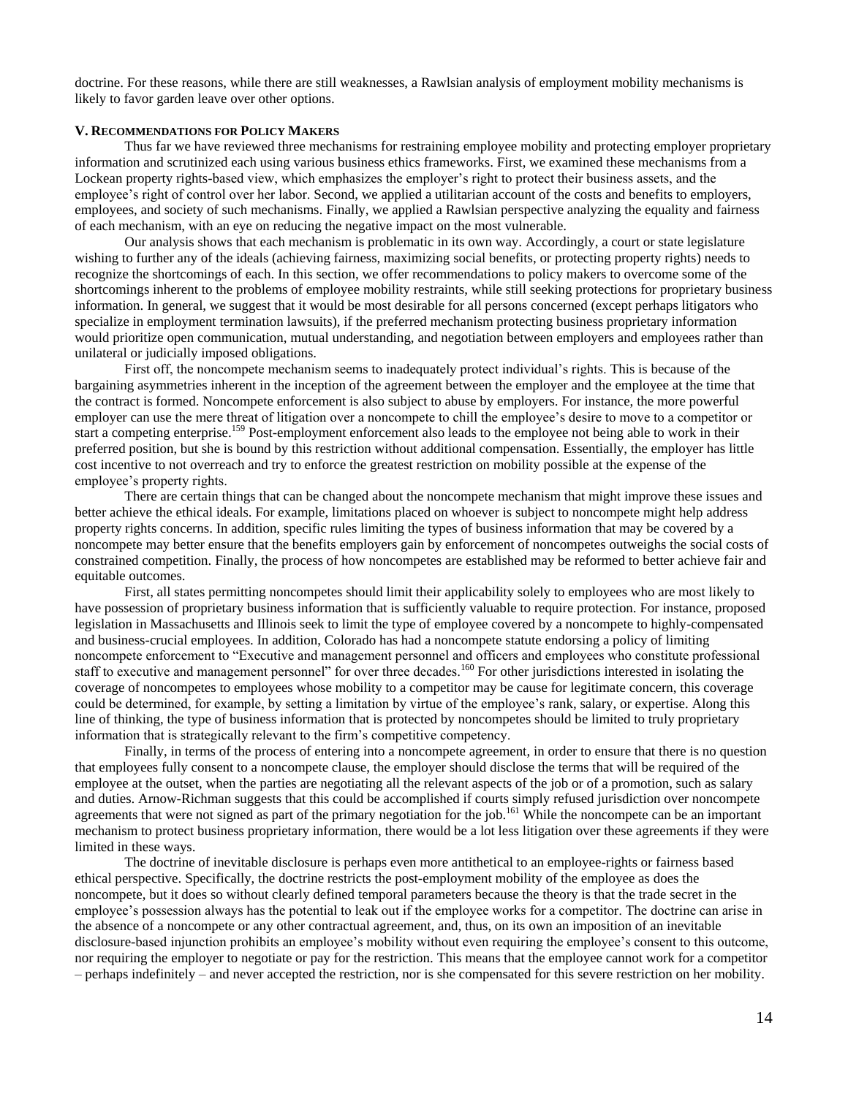doctrine. For these reasons, while there are still weaknesses, a Rawlsian analysis of employment mobility mechanisms is likely to favor garden leave over other options.

## **V. RECOMMENDATIONS FOR POLICY MAKERS**

Thus far we have reviewed three mechanisms for restraining employee mobility and protecting employer proprietary information and scrutinized each using various business ethics frameworks. First, we examined these mechanisms from a Lockean property rights-based view, which emphasizes the employer's right to protect their business assets, and the employee's right of control over her labor. Second, we applied a utilitarian account of the costs and benefits to employers, employees, and society of such mechanisms. Finally, we applied a Rawlsian perspective analyzing the equality and fairness of each mechanism, with an eye on reducing the negative impact on the most vulnerable.

Our analysis shows that each mechanism is problematic in its own way. Accordingly, a court or state legislature wishing to further any of the ideals (achieving fairness, maximizing social benefits, or protecting property rights) needs to recognize the shortcomings of each. In this section, we offer recommendations to policy makers to overcome some of the shortcomings inherent to the problems of employee mobility restraints, while still seeking protections for proprietary business information. In general, we suggest that it would be most desirable for all persons concerned (except perhaps litigators who specialize in employment termination lawsuits), if the preferred mechanism protecting business proprietary information would prioritize open communication, mutual understanding, and negotiation between employers and employees rather than unilateral or judicially imposed obligations.

First off, the noncompete mechanism seems to inadequately protect individual's rights. This is because of the bargaining asymmetries inherent in the inception of the agreement between the employer and the employee at the time that the contract is formed. Noncompete enforcement is also subject to abuse by employers. For instance, the more powerful employer can use the mere threat of litigation over a noncompete to chill the employee's desire to move to a competitor or start a competing enterprise.<sup>159</sup> Post-employment enforcement also leads to the employee not being able to work in their preferred position, but she is bound by this restriction without additional compensation. Essentially, the employer has little cost incentive to not overreach and try to enforce the greatest restriction on mobility possible at the expense of the employee's property rights.

There are certain things that can be changed about the noncompete mechanism that might improve these issues and better achieve the ethical ideals. For example, limitations placed on whoever is subject to noncompete might help address property rights concerns. In addition, specific rules limiting the types of business information that may be covered by a noncompete may better ensure that the benefits employers gain by enforcement of noncompetes outweighs the social costs of constrained competition. Finally, the process of how noncompetes are established may be reformed to better achieve fair and equitable outcomes.

First, all states permitting noncompetes should limit their applicability solely to employees who are most likely to have possession of proprietary business information that is sufficiently valuable to require protection. For instance, proposed legislation in Massachusetts and Illinois seek to limit the type of employee covered by a noncompete to highly-compensated and business-crucial employees. In addition, Colorado has had a noncompete statute endorsing a policy of limiting noncompete enforcement to "Executive and management personnel and officers and employees who constitute professional staff to executive and management personnel" for over three decades.<sup>160</sup> For other jurisdictions interested in isolating the coverage of noncompetes to employees whose mobility to a competitor may be cause for legitimate concern, this coverage could be determined, for example, by setting a limitation by virtue of the employee's rank, salary, or expertise. Along this line of thinking, the type of business information that is protected by noncompetes should be limited to truly proprietary information that is strategically relevant to the firm's competitive competency.

Finally, in terms of the process of entering into a noncompete agreement, in order to ensure that there is no question that employees fully consent to a noncompete clause, the employer should disclose the terms that will be required of the employee at the outset, when the parties are negotiating all the relevant aspects of the job or of a promotion, such as salary and duties. Arnow-Richman suggests that this could be accomplished if courts simply refused jurisdiction over noncompete agreements that were not signed as part of the primary negotiation for the job.<sup>161</sup> While the noncompete can be an important mechanism to protect business proprietary information, there would be a lot less litigation over these agreements if they were limited in these ways.

The doctrine of inevitable disclosure is perhaps even more antithetical to an employee-rights or fairness based ethical perspective. Specifically, the doctrine restricts the post-employment mobility of the employee as does the noncompete, but it does so without clearly defined temporal parameters because the theory is that the trade secret in the employee's possession always has the potential to leak out if the employee works for a competitor. The doctrine can arise in the absence of a noncompete or any other contractual agreement, and, thus, on its own an imposition of an inevitable disclosure-based injunction prohibits an employee's mobility without even requiring the employee's consent to this outcome, nor requiring the employer to negotiate or pay for the restriction. This means that the employee cannot work for a competitor – perhaps indefinitely – and never accepted the restriction, nor is she compensated for this severe restriction on her mobility.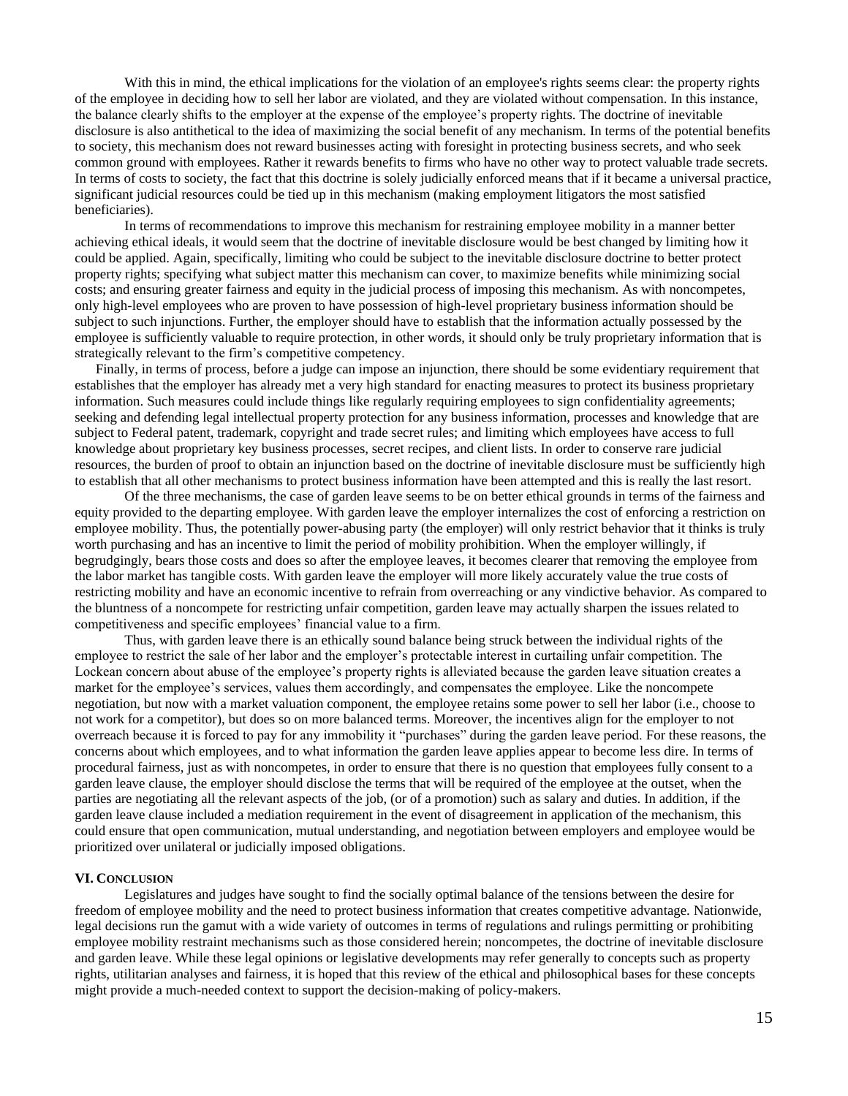With this in mind, the ethical implications for the violation of an employee's rights seems clear: the property rights of the employee in deciding how to sell her labor are violated, and they are violated without compensation. In this instance, the balance clearly shifts to the employer at the expense of the employee's property rights. The doctrine of inevitable disclosure is also antithetical to the idea of maximizing the social benefit of any mechanism. In terms of the potential benefits to society, this mechanism does not reward businesses acting with foresight in protecting business secrets, and who seek common ground with employees. Rather it rewards benefits to firms who have no other way to protect valuable trade secrets. In terms of costs to society, the fact that this doctrine is solely judicially enforced means that if it became a universal practice, significant judicial resources could be tied up in this mechanism (making employment litigators the most satisfied beneficiaries).

In terms of recommendations to improve this mechanism for restraining employee mobility in a manner better achieving ethical ideals, it would seem that the doctrine of inevitable disclosure would be best changed by limiting how it could be applied. Again, specifically, limiting who could be subject to the inevitable disclosure doctrine to better protect property rights; specifying what subject matter this mechanism can cover, to maximize benefits while minimizing social costs; and ensuring greater fairness and equity in the judicial process of imposing this mechanism. As with noncompetes, only high-level employees who are proven to have possession of high-level proprietary business information should be subject to such injunctions. Further, the employer should have to establish that the information actually possessed by the employee is sufficiently valuable to require protection, in other words, it should only be truly proprietary information that is strategically relevant to the firm's competitive competency.

 Finally, in terms of process, before a judge can impose an injunction, there should be some evidentiary requirement that establishes that the employer has already met a very high standard for enacting measures to protect its business proprietary information. Such measures could include things like regularly requiring employees to sign confidentiality agreements; seeking and defending legal intellectual property protection for any business information, processes and knowledge that are subject to Federal patent, trademark, copyright and trade secret rules; and limiting which employees have access to full knowledge about proprietary key business processes, secret recipes, and client lists. In order to conserve rare judicial resources, the burden of proof to obtain an injunction based on the doctrine of inevitable disclosure must be sufficiently high to establish that all other mechanisms to protect business information have been attempted and this is really the last resort.

Of the three mechanisms, the case of garden leave seems to be on better ethical grounds in terms of the fairness and equity provided to the departing employee. With garden leave the employer internalizes the cost of enforcing a restriction on employee mobility. Thus, the potentially power-abusing party (the employer) will only restrict behavior that it thinks is truly worth purchasing and has an incentive to limit the period of mobility prohibition. When the employer willingly, if begrudgingly, bears those costs and does so after the employee leaves, it becomes clearer that removing the employee from the labor market has tangible costs. With garden leave the employer will more likely accurately value the true costs of restricting mobility and have an economic incentive to refrain from overreaching or any vindictive behavior. As compared to the bluntness of a noncompete for restricting unfair competition, garden leave may actually sharpen the issues related to competitiveness and specific employees' financial value to a firm.

Thus, with garden leave there is an ethically sound balance being struck between the individual rights of the employee to restrict the sale of her labor and the employer's protectable interest in curtailing unfair competition. The Lockean concern about abuse of the employee's property rights is alleviated because the garden leave situation creates a market for the employee's services, values them accordingly, and compensates the employee. Like the noncompete negotiation, but now with a market valuation component, the employee retains some power to sell her labor (i.e., choose to not work for a competitor), but does so on more balanced terms. Moreover, the incentives align for the employer to not overreach because it is forced to pay for any immobility it "purchases" during the garden leave period. For these reasons, the concerns about which employees, and to what information the garden leave applies appear to become less dire. In terms of procedural fairness, just as with noncompetes, in order to ensure that there is no question that employees fully consent to a garden leave clause, the employer should disclose the terms that will be required of the employee at the outset, when the parties are negotiating all the relevant aspects of the job, (or of a promotion) such as salary and duties. In addition, if the garden leave clause included a mediation requirement in the event of disagreement in application of the mechanism, this could ensure that open communication, mutual understanding, and negotiation between employers and employee would be prioritized over unilateral or judicially imposed obligations.

## **VI. CONCLUSION**

Legislatures and judges have sought to find the socially optimal balance of the tensions between the desire for freedom of employee mobility and the need to protect business information that creates competitive advantage. Nationwide, legal decisions run the gamut with a wide variety of outcomes in terms of regulations and rulings permitting or prohibiting employee mobility restraint mechanisms such as those considered herein; noncompetes, the doctrine of inevitable disclosure and garden leave. While these legal opinions or legislative developments may refer generally to concepts such as property rights, utilitarian analyses and fairness, it is hoped that this review of the ethical and philosophical bases for these concepts might provide a much-needed context to support the decision-making of policy-makers.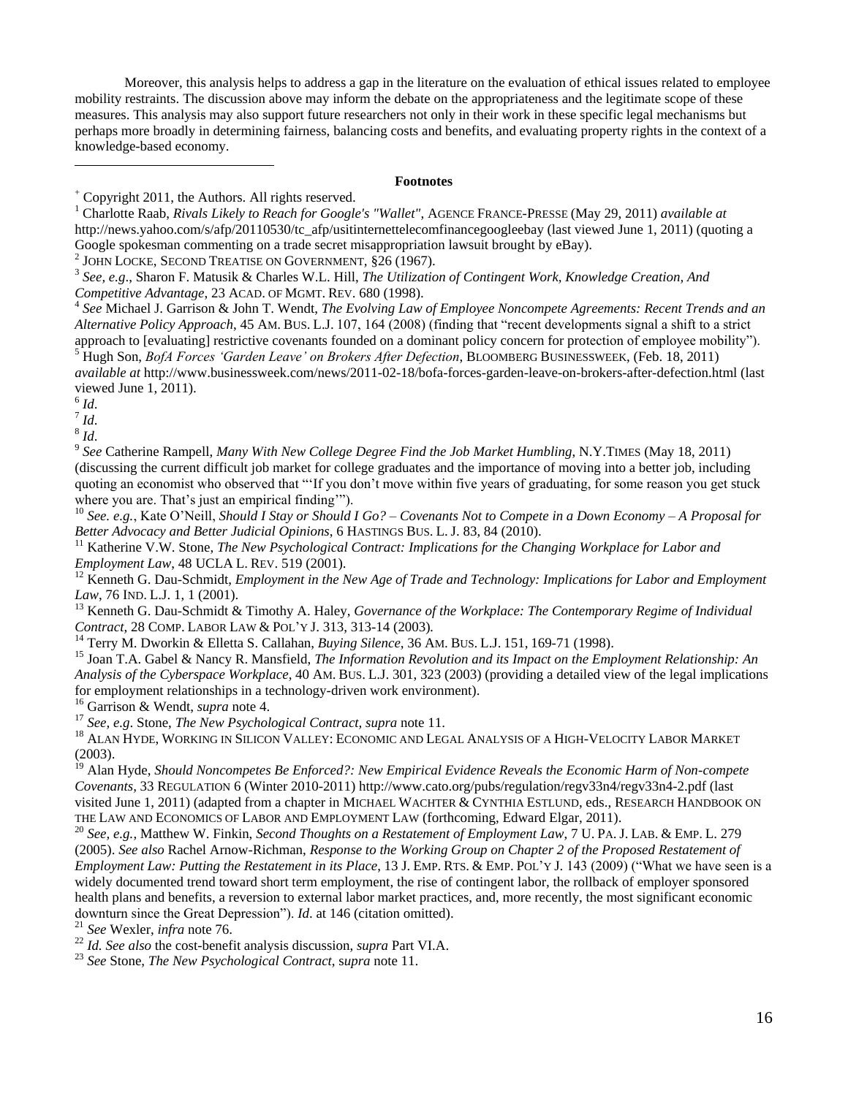Moreover, this analysis helps to address a gap in the literature on the evaluation of ethical issues related to employee mobility restraints. The discussion above may inform the debate on the appropriateness and the legitimate scope of these measures. This analysis may also support future researchers not only in their work in these specific legal mechanisms but perhaps more broadly in determining fairness, balancing costs and benefits, and evaluating property rights in the context of a knowledge-based economy.

# **Footnotes**

2 JOHN LOCKE, SECOND TREATISE ON GOVERNMENT*,* §26 (1967).

4 *See* Michael J. Garrison & John T. Wendt, *The Evolving Law of Employee Noncompete Agreements: Recent Trends and an Alternative Policy Approach*, 45 AM. BUS. L.J. 107, 164 (2008) (finding that "recent developments signal a shift to a strict approach to [evaluating] restrictive covenants founded on a dominant policy concern for protection of employee mobility"). <sup>5</sup> Hugh Son, *BofA Forces "Garden Leave" on Brokers After Defection*, BLOOMBERG BUSINESSWEEK, (Feb. 18, 2011) *available at* http://www.businessweek.com/news/2011-02-18/bofa-forces-garden-leave-on-brokers-after-defection.html (last

viewed June 1, 2011).

 $\overline{a}$ 

7 *Id*.

8 *Id*.

9 *See* Catherine Rampell, *Many With New College Degree Find the Job Market Humbling*, N.Y.TIMES (May 18, 2011) (discussing the current difficult job market for college graduates and the importance of moving into a better job, including quoting an economist who observed that "If you don't move within five years of graduating, for some reason you get stuck where you are. That's just an empirical finding".

<sup>10</sup> *See. e.g.*, Kate O'Neill, *Should I Stay or Should I Go? – Covenants Not to Compete in a Down Economy – A Proposal for Better Advocacy and Better Judicial Opinions*, 6 HASTINGS BUS. L. J. 83, 84 (2010).

<sup>11</sup> Katherine V.W. Stone, *The New Psychological Contract: Implications for the Changing Workplace for Labor and Employment Law*, 48 UCLA L. REV. 519 (2001).

<sup>12</sup> Kenneth G. Dau-Schmidt, *Employment in the New Age of Trade and Technology: Implications for Labor and Employment Law*, 76 IND. L.J. 1, 1 (2001).

<sup>13</sup> Kenneth G. Dau-Schmidt & Timothy A. Haley, *Governance of the Workplace: The Contemporary Regime of Individual Contract*, 28 COMP. LABOR LAW & POL'Y J. 313, 313-14 (2003)*.*

<sup>14</sup> Terry M. Dworkin & Elletta S. Callahan, *Buying Silence*, 36 AM. BUS. L.J. 151, 169-71 (1998).

<sup>15</sup> Joan T.A. Gabel & Nancy R. Mansfield, *The Information Revolution and its Impact on the Employment Relationship: An Analysis of the Cyberspace Workplace*, 40 AM. BUS. L.J. 301, 323 (2003) (providing a detailed view of the legal implications for employment relationships in a technology-driven work environment).

<sup>16</sup> Garrison & Wendt, *supra* note 4.

<sup>17</sup> *See, e.g*. Stone, *The New Psychological Contract, supra* note 11.

<sup>18</sup> ALAN HYDE, WORKING IN SILICON VALLEY: ECONOMIC AND LEGAL ANALYSIS OF A HIGH-VELOCITY LABOR MARKET (2003).

<sup>19</sup> Alan Hyde, *Should Noncompetes Be Enforced?: New Empirical Evidence Reveals the Economic Harm of Non-compete Covenants,* 33 REGULATION 6 (Winter 2010-2011) http://www.cato.org/pubs/regulation/regv33n4/regv33n4-2.pdf (last visited June 1, 2011) (adapted from a chapter in MICHAEL WACHTER & CYNTHIA ESTLUND, eds., RESEARCH HANDBOOK ON THE LAW AND ECONOMICS OF LABOR AND EMPLOYMENT LAW (forthcoming, Edward Elgar, 2011).

<sup>20</sup> *See, e.g.*, Matthew W. Finkin, *Second Thoughts on a Restatement of Employment Law*, 7 U. PA. J. LAB. & EMP. L. 279 (2005). *See also* Rachel Arnow-Richman, *Response to the Working Group on Chapter 2 of the Proposed Restatement of Employment Law: Putting the Restatement in its Place, 13 J. EMP. RTS. & EMP. POL'Y J. 143 (2009) ("What we have seen is a* widely documented trend toward short term employment, the rise of contingent labor, the rollback of employer sponsored health plans and benefits, a reversion to external labor market practices, and, more recently, the most significant economic downturn since the Great Depression"). *Id.* at 146 (citation omitted).

<sup>21</sup> *See* Wexler, *infra* note 76.

<sup>22</sup> *Id. See also* the cost-benefit analysis discussion, *supra* Part VI.A.

<sup>23</sup> *See* Stone, *The New Psychological Contract*, s*upra* note 11.

<sup>&</sup>lt;sup>+</sup> Copyright 2011, the Authors. All rights reserved.<br><sup>1</sup> Charlotte Bash, *Rivals Likely to Beach for Google* 

<sup>1</sup> Charlotte Raab, *Rivals Likely to Reach for Google's "Wallet"*, AGENCE FRANCE-PRESSE (May 29, 2011) *available at* http://news.yahoo.com/s/afp/20110530/tc\_afp/usitinternettelecomfinancegoogleebay (last viewed June 1, 2011) (quoting a Google spokesman commenting on a trade secret misappropriation lawsuit brought by eBay).

<sup>3</sup> *See, e.g*., Sharon F. Matusik & Charles W.L. Hill, *The Utilization of Contingent Work, Knowledge Creation, And Competitive Advantage*, 23 ACAD. OF MGMT. REV. 680 (1998).

<sup>6</sup> *Id*.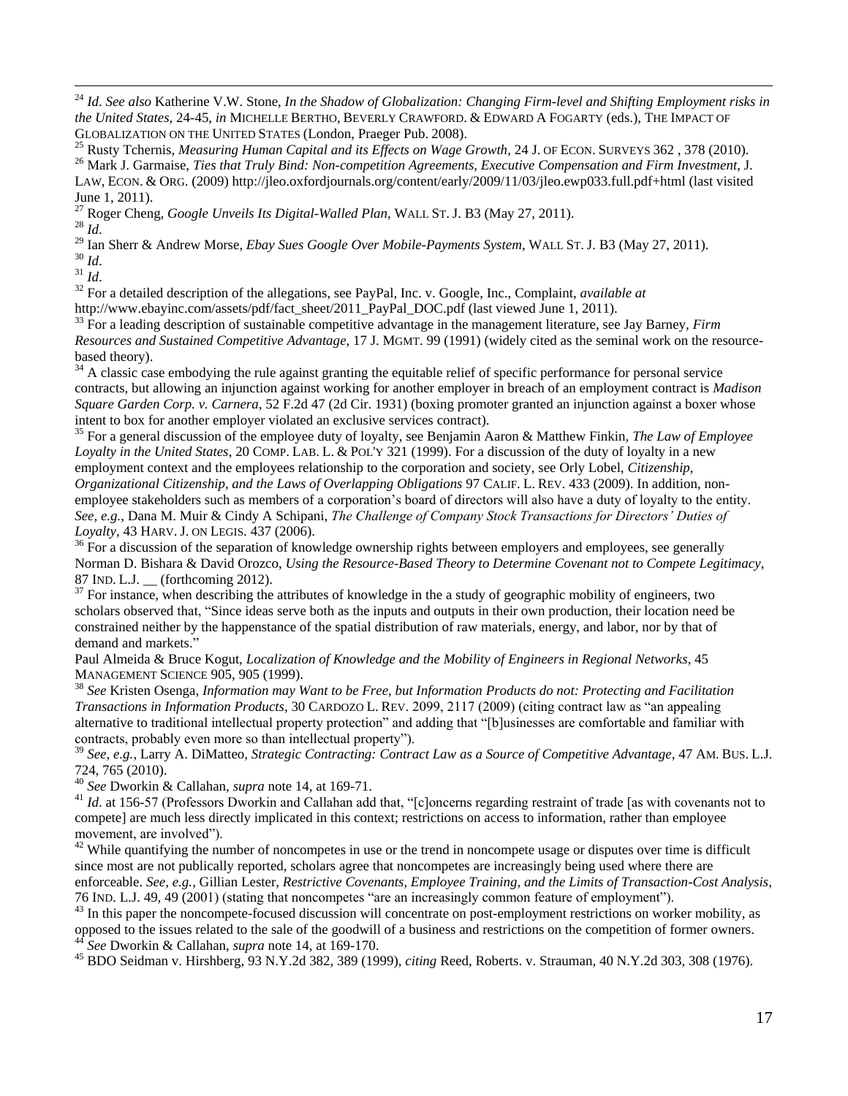<sup>32</sup> For a detailed description of the allegations, see PayPal, Inc. v. Google, Inc., Complaint, *available at* http://www.ebayinc.com/assets/pdf/fact\_sheet/2011\_PayPal\_DOC.pdf (last viewed June 1, 2011).

<sup>27</sup> Roger Cheng, *Google Unveils Its Digital-Walled Plan,* WALL ST. J. B3 (May 27, 2011).

GLOBALIZATION ON THE UNITED STATES (London, Praeger Pub. 2008).

<sup>33</sup> For a leading description of sustainable competitive advantage in the management literature, see Jay Barney, *Firm Resources and Sustained Competitive Advantage*, 17 J. MGMT. 99 (1991) (widely cited as the seminal work on the resourcebased theory).

<sup>24</sup> *Id*. *See also* Katherine V.W. Stone, *In the Shadow of Globalization: Changing Firm-level and Shifting Employment risks in the United States*, 24-45, *in* MICHELLE BERTHO, BEVERLY CRAWFORD. & EDWARD A FOGARTY (eds.), THE IMPACT OF

<sup>25</sup> Rusty Tchernis, *Measuring Human Capital and its Effects on Wage Growth*, 24 J. OF ECON. SURVEYS 362 , 378 (2010). <sup>26</sup> Mark J. Garmaise, *Ties that Truly Bind: Non-competition Agreements, Executive Compensation and Firm Investment*, J. LAW, ECON. & ORG. (2009) http://jleo.oxfordjournals.org/content/early/2009/11/03/jleo.ewp033.full.pdf+html (last visited

 $34$  A classic case embodying the rule against granting the equitable relief of specific performance for personal service contracts, but allowing an injunction against working for another employer in breach of an employment contract is *Madison Square Garden Corp. v. Carnera*, 52 F.2d 47 (2d Cir. 1931) (boxing promoter granted an injunction against a boxer whose intent to box for another employer violated an exclusive services contract).

<sup>35</sup> For a general discussion of the employee duty of loyalty, see Benjamin Aaron & Matthew Finkin, *The Law of Employee Loyalty in the United States*, 20 COMP. LAB. L. & POL'Y 321 (1999). For a discussion of the duty of loyalty in a new employment context and the employees relationship to the corporation and society, see Orly Lobel, *Citizenship, Organizational Citizenship, and the Laws of Overlapping Obligations* 97 CALIF. L. REV. 433 (2009). In addition, nonemployee stakeholders such as members of a corporation's board of directors will also have a duty of loyalty to the entity. *See, e.g.*, Dana M. Muir & Cindy A Schipani, *The Challenge of Company Stock Transactions for Directors" Duties of Loyalty*, 43 HARV. J. ON LEGIS. 437 (2006).

<sup>36</sup> For a discussion of the separation of knowledge ownership rights between employers and employees, see generally Norman D. Bishara & David Orozco, *Using the Resource-Based Theory to Determine Covenant not to Compete Legitimacy*, 87 IND. L.J. \_\_ (forthcoming 2012).

 $37$  For instance, when describing the attributes of knowledge in the a study of geographic mobility of engineers, two scholars observed that, "Since ideas serve both as the inputs and outputs in their own production, their location need be constrained neither by the happenstance of the spatial distribution of raw materials, energy, and labor, nor by that of demand and markets.'

Paul Almeida & Bruce Kogut, *Localization of Knowledge and the Mobility of Engineers in Regional Networks*, 45 MANAGEMENT SCIENCE 905, 905 (1999).

<sup>38</sup> *See* Kristen Osenga, *Information may Want to be Free, but Information Products do not: Protecting and Facilitation Transactions in Information Products*, 30 CARDOZO L. REV. 2099, 2117 (2009) (citing contract law as "an appealing alternative to traditional intellectual property protection" and adding that "[b]usinesses are comfortable and familiar with contracts, probably even more so than intellectual property").

<sup>39</sup> *See, e.g.*, Larry A. DiMatteo, *Strategic Contracting: Contract Law as a Source of Competitive Advantage*, 47 AM. BUS. L.J. 724, 765 (2010).

<sup>40</sup> *See* Dworkin & Callahan, *supra* note 14, at 169-71.

 $\overline{a}$ 

June 1, 2011).

 $^{28}$  *Id.* 

<sup>30</sup> *Id*. <sup>31</sup> *Id*.

<sup>41</sup> *Id.* at 156-57 (Professors Dworkin and Callahan add that, "[c]oncerns regarding restraint of trade [as with covenants not to compete] are much less directly implicated in this context; restrictions on access to information, rather than employee movement, are involved".

 $42$  While quantifying the number of noncompetes in use or the trend in noncompete usage or disputes over time is difficult since most are not publically reported, scholars agree that noncompetes are increasingly being used where there are enforceable. *See, e.g.*, Gillian Lester, *Restrictive Covenants, Employee Training, and the Limits of Transaction-Cost Analysis*, 76 IND. L.J. 49, 49 (2001) (stating that noncompetes "are an increasingly common feature of employment").

<sup>43</sup> In this paper the noncompete-focused discussion will concentrate on post-employment restrictions on worker mobility, as opposed to the issues related to the sale of the goodwill of a business and restrictions on the competition of former owners. <sup>44</sup> *See* Dworkin & Callahan, *supra* note 14, at 169-170.

<sup>45</sup> BDO Seidman v. Hirshberg, 93 N.Y.2d 382, 389 (1999), *citing* Reed, Roberts. v. Strauman, 40 N.Y.2d 303, 308 (1976).

<sup>29</sup> Ian Sherr & Andrew Morse, *Ebay Sues Google Over Mobile-Payments System*, WALL ST. J. B3 (May 27, 2011).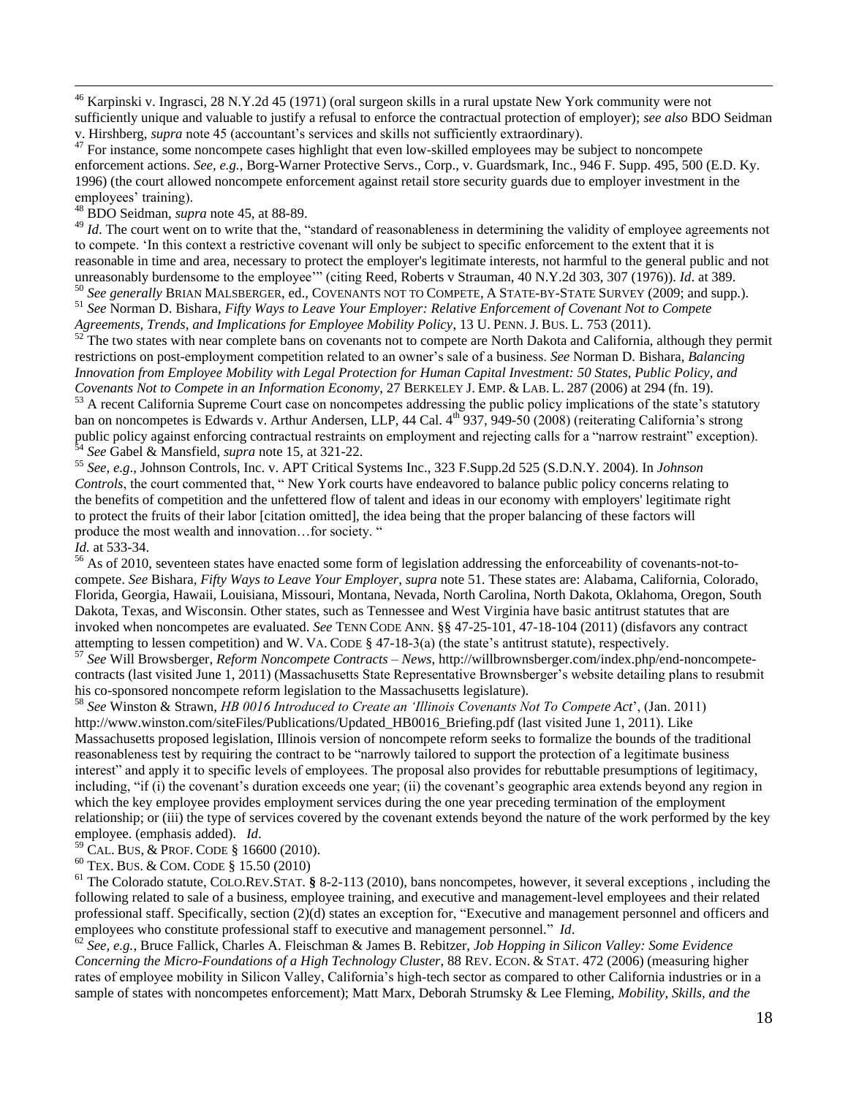<sup>46</sup> Karpinski v. Ingrasci, 28 N.Y.2d 45 (1971) (oral surgeon skills in a rural upstate New York community were not sufficiently unique and valuable to justify a refusal to enforce the contractual protection of employer); *see also* BDO Seidman v. Hirshberg, *supra* note 45 (accountant's services and skills not sufficiently extraordinary).

<sup>47</sup> For instance, some noncompete cases highlight that even low-skilled employees may be subject to noncompete enforcement actions. *See, e.g.*, Borg-Warner Protective Servs., Corp., v. Guardsmark, Inc., 946 F. Supp. 495, 500 (E.D. Ky. 1996) (the court allowed noncompete enforcement against retail store security guards due to employer investment in the employees' training).

<sup>48</sup> BDO Seidman, *supra* note 45, at 88-89.

<sup>49</sup> *Id*. The court went on to write that the, "standard of reasonableness in determining the validity of employee agreements not to compete. ‗In this context a restrictive covenant will only be subject to specific enforcement to the extent that it is reasonable in time and area, necessary to protect the employer's legitimate interests, not harmful to the general public and not unreasonably burdensome to the employee'" (citing Reed, Roberts v Strauman, 40 N.Y.2d 303, 307 (1976)). *Id.* at 389.

<sup>50</sup> *See generally* BRIAN MALSBERGER, ed., COVENANTS NOT TO COMPETE, A STATE-BY-STATE SURVEY (2009; and supp.). <sup>51</sup> *See* Norman D. Bishara, *Fifty Ways to Leave Your Employer: Relative Enforcement of Covenant Not to Compete Agreements, Trends, and Implications for Employee Mobility Policy*, 13 U. PENN. J. BUS. L. 753 (2011).

 $52^{\circ}$  The two states with near complete bans on covenants not to compete are North Dakota and California, although they permit restrictions on post-employment competition related to an owner's sale of a business. *See* Norman D. Bishara, *Balancing Innovation from Employee Mobility with Legal Protection for Human Capital Investment: 50 States, Public Policy, and Covenants Not to Compete in an Information Economy*, 27 BERKELEY J. EMP. & LAB. L. 287 (2006) at 294 (fn. 19).

<sup>53</sup> A recent California Supreme Court case on noncompetes addressing the public policy implications of the state's statutory ban on noncompetes is Edwards v. Arthur Andersen, LLP, 44 Cal.  $4^{th}$  937, 949-50 (2008) (reiterating California's strong public policy against enforcing contractual restraints on employment and rejecting calls for a "narrow restraint" exception). <sup>54</sup> *See* Gabel & Mansfield, *supra* note 15, at 321-22.

<sup>55</sup> *See, e.g*., Johnson Controls, Inc. v. APT Critical Systems Inc., 323 F.Supp.2d 525 (S.D.N.Y. 2004). In *Johnson Controls*, the court commented that, "New York courts have endeavored to balance public policy concerns relating to the benefits of competition and the unfettered flow of talent and ideas in our economy with employers' legitimate right to protect the fruits of their labor [citation omitted], the idea being that the proper balancing of these factors will produce the most wealth and innovation...for society. "

*Id.* at 533-34.

 $\overline{a}$ 

<sup>56</sup> As of 2010, seventeen states have enacted some form of legislation addressing the enforceability of covenants-not-tocompete. *See* Bishara, *Fifty Ways to Leave Your Employer*, *supra* note 51. These states are: Alabama, California, Colorado, Florida, Georgia, Hawaii, Louisiana, Missouri, Montana, Nevada, North Carolina, North Dakota, Oklahoma, Oregon, South Dakota, Texas, and Wisconsin. Other states, such as Tennessee and West Virginia have basic antitrust statutes that are invoked when noncompetes are evaluated. *See* TENN CODE ANN. §§ 47-25-101, 47-18-104 (2011) (disfavors any contract attempting to lessen competition) and W. VA. CODE  $\S$  47-18-3(a) (the state's antitrust statute), respectively.

<sup>57</sup> *See* Will Browsberger, *Reform Noncompete Contracts – News*, http://willbrownsberger.com/index.php/end-noncompetecontracts (last visited June 1, 2011) (Massachusetts State Representative Brownsberger's website detailing plans to resubmit his co-sponsored noncompete reform legislation to the Massachusetts legislature).

<sup>58</sup> *See* Winston & Strawn, *HB 0016 Introduced to Create an "Illinois Covenants Not To Compete Act*', (Jan. 2011) http://www.winston.com/siteFiles/Publications/Updated\_HB0016\_Briefing.pdf (last visited June 1, 2011). Like Massachusetts proposed legislation, Illinois version of noncompete reform seeks to formalize the bounds of the traditional reasonableness test by requiring the contract to be "narrowly tailored to support the protection of a legitimate business interest" and apply it to specific levels of employees. The proposal also provides for rebuttable presumptions of legitimacy, including, "if (i) the covenant's duration exceeds one year; (ii) the covenant's geographic area extends beyond any region in which the key employee provides employment services during the one year preceding termination of the employment relationship; or (iii) the type of services covered by the covenant extends beyond the nature of the work performed by the key employee. (emphasis added). *Id*.

<sup>59</sup> CAL. BUS, & PROF. CODE § 16600 (2010).

<sup>60</sup> TEX. BUS. & COM. CODE § 15.50 (2010)

<sup>61</sup> The Colorado statute, COLO.REV.STAT. **§** 8-2-113 (2010), bans noncompetes, however, it several exceptions , including the following related to sale of a business, employee training, and executive and management-level employees and their related professional staff. Specifically, section (2)(d) states an exception for, "Executive and management personnel and officers and employees who constitute professional staff to executive and management personnel." *Id*.

<sup>62</sup> *See, e.g.*, Bruce Fallick, Charles A. Fleischman & James B. Rebitzer, *Job Hopping in Silicon Valley: Some Evidence Concerning the Micro-Foundations of a High Technology Cluster*, 88 REV. ECON. & STAT. 472 (2006) (measuring higher rates of employee mobility in Silicon Valley, California's high-tech sector as compared to other California industries or in a sample of states with noncompetes enforcement); Matt Marx, Deborah Strumsky & Lee Fleming, *Mobility, Skills, and the*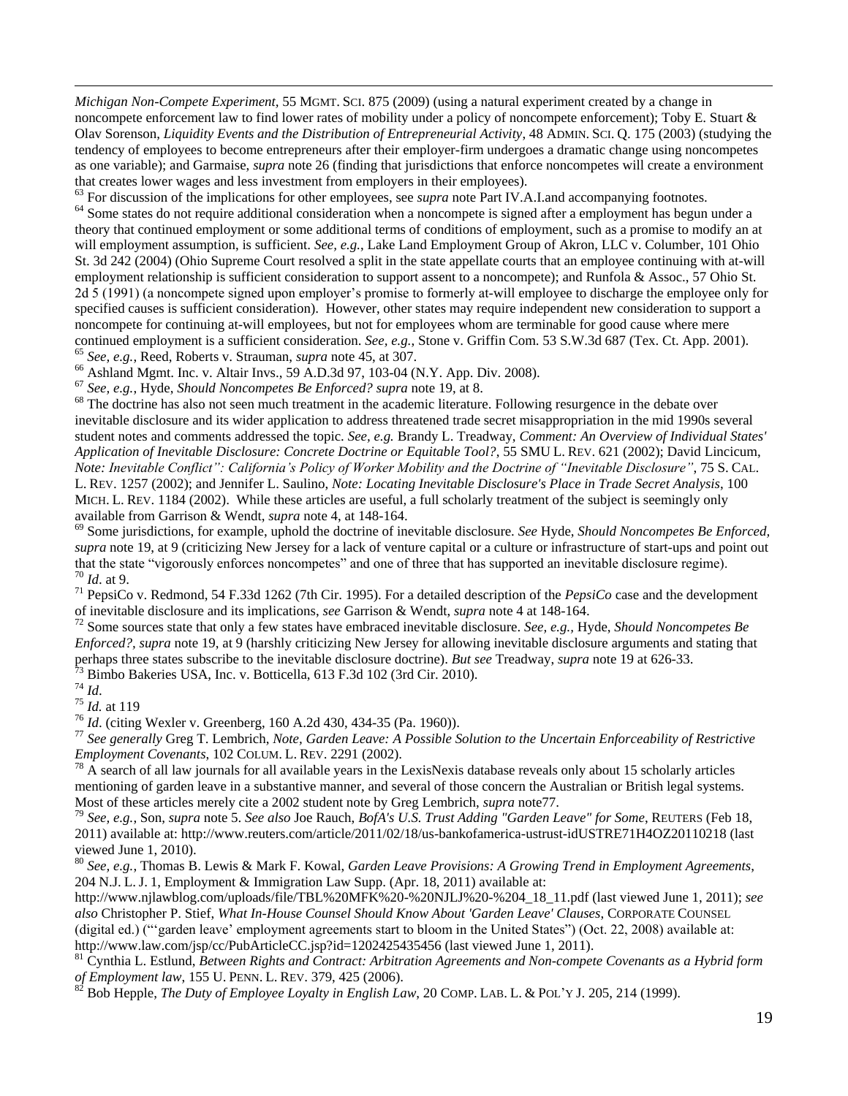*Michigan Non-Compete Experiment,* 55 MGMT. SCI. 875 (2009) (using a natural experiment created by a change in noncompete enforcement law to find lower rates of mobility under a policy of noncompete enforcement); Toby E. Stuart & Olav Sorenson, *Liquidity Events and the Distribution of Entrepreneurial Activity*, 48 ADMIN. SCI. Q. 175 (2003) (studying the tendency of employees to become entrepreneurs after their employer-firm undergoes a dramatic change using noncompetes as one variable); and Garmaise, *supra* note 26 (finding that jurisdictions that enforce noncompetes will create a environment that creates lower wages and less investment from employers in their employees).

<sup>63</sup> For discussion of the implications for other employees, see *supra* note Part IV.A.I.and accompanying footnotes.

<sup>64</sup> Some states do not require additional consideration when a noncompete is signed after a employment has begun under a theory that continued employment or some additional terms of conditions of employment, such as a promise to modify an at will employment assumption, is sufficient. *See, e.g.*, Lake Land Employment Group of Akron, LLC v. Columber, 101 Ohio St. 3d 242 (2004) (Ohio Supreme Court resolved a split in the state appellate courts that an employee continuing with at-will employment relationship is sufficient consideration to support assent to a noncompete); and Runfola & Assoc., 57 Ohio St. 2d 5 (1991) (a noncompete signed upon employer's promise to formerly at-will employee to discharge the employee only for specified causes is sufficient consideration). However, other states may require independent new consideration to support a noncompete for continuing at-will employees, but not for employees whom are terminable for good cause where mere continued employment is a sufficient consideration. *See, e.g.*, Stone v. Griffin Com. 53 S.W.3d 687 (Tex. Ct. App. 2001). <sup>65</sup> *See, e.g.*, Reed, Roberts v. Strauman, *supra* note 45, at 307.

<sup>66</sup> Ashland Mgmt. Inc. v. Altair Invs., 59 A.D.3d 97, 103-04 (N.Y. App. Div. 2008).

<sup>67</sup> *See, e.g.*, Hyde, *Should Noncompetes Be Enforced? supra* note 19, at 8.

<sup>68</sup> The doctrine has also not seen much treatment in the academic literature. Following resurgence in the debate over inevitable disclosure and its wider application to address threatened trade secret misappropriation in the mid 1990s several student notes and comments addressed the topic. *See, e.g.* Brandy L. Treadway, *Comment: An Overview of Individual States' Application of Inevitable Disclosure: Concrete Doctrine or Equitable Tool?*, 55 SMU L. REV. 621 (2002); David Lincicum, *Note: Inevitable Conflict": California"s Policy of Worker Mobility and the Doctrine of "Inevitable Disclosure"*, 75 S. CAL. L. REV. 1257 (2002); and Jennifer L. Saulino, *Note: Locating Inevitable Disclosure's Place in Trade Secret Analysis*, 100 MICH. L. REV. 1184 (2002). While these articles are useful, a full scholarly treatment of the subject is seemingly only available from Garrison & Wendt, *supra* note 4, at 148-164.

<sup>69</sup> Some jurisdictions, for example, uphold the doctrine of inevitable disclosure. *See* Hyde, *Should Noncompetes Be Enforced, supra* note 19, at 9 (criticizing New Jersey for a lack of venture capital or a culture or infrastructure of start-ups and point out that the state "vigorously enforces noncompetes" and one of three that has supported an inevitable disclosure regime). <sup>70</sup> *Id*. at 9.

<sup>71</sup> PepsiCo v. Redmond, 54 F.33d 1262 (7th Cir. 1995). For a detailed description of the *PepsiCo* case and the development of inevitable disclosure and its implications, *see* Garrison & Wendt, *supra* note 4 at 148-164.

<sup>72</sup> Some sources state that only a few states have embraced inevitable disclosure. *See, e.g.,* Hyde, *Should Noncompetes Be Enforced?, supra* note 19, at 9 (harshly criticizing New Jersey for allowing inevitable disclosure arguments and stating that perhaps three states subscribe to the inevitable disclosure doctrine). *But see* Treadway, *supra* note 19 at 626-33.  $^{73}$  Bimbo Bakeries USA, Inc. v. Botticella, 613 F.3d 102 (3rd Cir. 2010).

<sup>74</sup> *Id*.

 $\overline{a}$ 

<sup>75</sup> *Id.* at 119

<sup>76</sup> *Id*. (citing Wexler v. Greenberg, 160 A.2d 430, 434-35 (Pa. 1960)).

<sup>77</sup> *See generally* Greg T. Lembrich, *Note, Garden Leave: A Possible Solution to the Uncertain Enforceability of Restrictive Employment Covenants*, 102 COLUM. L. REV. 2291 (2002).

 $78$  A search of all law journals for all available years in the LexisNexis database reveals only about 15 scholarly articles mentioning of garden leave in a substantive manner, and several of those concern the Australian or British legal systems. Most of these articles merely cite a 2002 student note by Greg Lembrich, *supra* note77.

<sup>79</sup> *See, e.g.*, Son, *supra* note 5. *See also* Joe Rauch, *BofA's U.S. Trust Adding "Garden Leave" for Some*, REUTERS (Feb 18, 2011) available at: http://www.reuters.com/article/2011/02/18/us-bankofamerica-ustrust-idUSTRE71H4OZ20110218 (last viewed June 1, 2010).

<sup>80</sup> *See, e.g.*, Thomas B. Lewis & Mark F. Kowal, *Garden Leave Provisions: A Growing Trend in Employment Agreements*, 204 N.J. L. J. 1, Employment & Immigration Law Supp. (Apr. 18, 2011) available at:

http://www.njlawblog.com/uploads/file/TBL%20MFK%20-%20NJLJ%20-%204\_18\_11.pdf (last viewed June 1, 2011); *see also* Christopher P. Stief, *What In-House Counsel Should Know About 'Garden Leave' Clauses*, CORPORATE COUNSEL (digital ed.) ("'garden leave' employment agreements start to bloom in the United States") (Oct. 22, 2008) available at: http://www.law.com/jsp/cc/PubArticleCC.jsp?id=1202425435456 (last viewed June 1, 2011).

<sup>81</sup> Cynthia L. Estlund, *Between Rights and Contract: Arbitration Agreements and Non-compete Covenants as a Hybrid form of Employment law*, 155 U. PENN. L. REV. 379, 425 (2006).

<sup>82</sup> Bob Hepple, *The Duty of Employee Loyalty in English Law*, 20 COMP. LAB. L. & POL'Y J. 205, 214 (1999).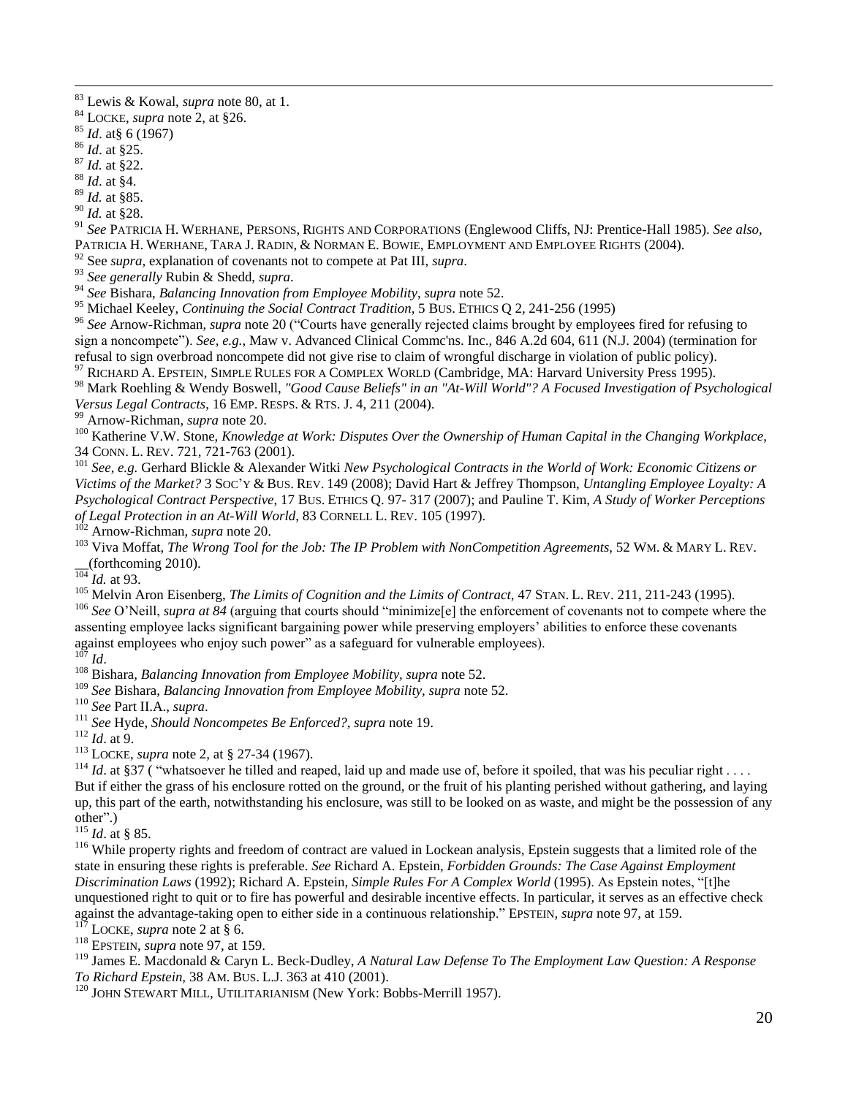$\overline{a}$ 

- <sup>89</sup> *Id.* at §85.
- <sup>90</sup> *Id.* at §28.

<sup>91</sup> *See* PATRICIA H. WERHANE, PERSONS, RIGHTS AND CORPORATIONS (Englewood Cliffs, NJ: Prentice-Hall 1985). *See also,* PATRICIA H. WERHANE, TARA J. RADIN, & NORMAN E. BOWIE, EMPLOYMENT AND EMPLOYEE RIGHTS (2004).

<sup>92</sup> See *supra,* explanation of covenants not to compete at Pat III, *supra*.

<sup>93</sup> *See generally* Rubin & Shedd, *supra*.

<sup>94</sup> *See* Bishara, *Balancing Innovation from Employee Mobility*, *supra* note 52.

<sup>95</sup> Michael Keeley, *Continuing the Social Contract Tradition*, 5 BUS. ETHICS Q 2*,* 241-256 (1995)

<sup>96</sup> See Arnow-Richman, *supra* note 20 ("Courts have generally rejected claims brought by employees fired for refusing to sign a noncompete"). *See, e.g.*, Maw v. Advanced Clinical Commc'ns. Inc., 846 A.2d 604, 611 (N.J. 2004) (termination for refusal to sign overbroad noncompete did not give rise to claim of wrongful discharge in violation of public policy). <sup>97</sup> RICHARD A. EPSTEIN, SIMPLE RULES FOR A COMPLEX WORLD (Cambridge, MA: Harvard University Press 1995).

<sup>98</sup> Mark Roehling & Wendy Boswell, *"Good Cause Beliefs" in an "At-Will World"? A Focused Investigation of Psychological Versus Legal Contracts*, 16 EMP. RESPS. & RTS. J. 4, 211 (2004).

<sup>99</sup> Arnow-Richman, *supra* note 20.

<sup>100</sup> Katherine V.W. Stone, *Knowledge at Work: Disputes Over the Ownership of Human Capital in the Changing Workplace*, 34 CONN. L. REV. 721, 721-763 (2001).

<sup>101</sup> *See, e.g.* Gerhard Blickle & Alexander Witki *New Psychological Contracts in the World of Work: Economic Citizens or Victims of the Market?* 3 SOC'Y & BUS. REV. 149 (2008); David Hart & Jeffrey Thompson, *Untangling Employee Loyalty: A Psychological Contract Perspective*, 17 BUS. ETHICS Q. 97- 317 (2007); and Pauline T. Kim, *A Study of Worker Perceptions of Legal Protection in an At-Will World*, 83 CORNELL L. REV. 105 (1997).

<sup>102</sup> Arnow-Richman, *supra* note 20.

<sup>103</sup> Viva Moffat, *The Wrong Tool for the Job: The IP Problem with NonCompetition Agreements*, 52 WM. & MARY L. REV. \_\_(forthcoming 2010).

 $\frac{104}{104}$  *Id.* at 93.

<sup>105</sup> Melvin Aron Eisenberg, *The Limits of Cognition and the Limits of Contract*, 47 STAN. L. REV. 211, 211-243 (1995).

<sup>106</sup> See O'Neill, *supra at 84* (arguing that courts should "minimize[e] the enforcement of covenants not to compete where the assenting employee lacks significant bargaining power while preserving employers' abilities to enforce these covenants against employees who enjoy such power" as a safeguard for vulnerable employees).

 $^{107}$  *Id.* 

<sup>108</sup> Bishara, *Balancing Innovation from Employee Mobility, supra* note 52.

<sup>109</sup> *See* Bishara, *Balancing Innovation from Employee Mobility, supra* note 52.

<sup>110</sup> *See* Part II.A., *supra*.

<sup>111</sup> *See* Hyde, *Should Noncompetes Be Enforced?, supra* note 19.

<sup>112</sup> *Id*. at 9.

<sup>113</sup> LOCKE, *supra* note 2, at § 27-34 (1967).

<sup>114</sup> *Id.* at §37 ( "whatsoever he tilled and reaped, laid up and made use of, before it spoiled, that was his peculiar right . . . . But if either the grass of his enclosure rotted on the ground, or the fruit of his planting perished without gathering, and laying up, this part of the earth, notwithstanding his enclosure, was still to be looked on as waste, and might be the possession of any other".)

<sup>115</sup> *Id*. at § 85.

<sup>116</sup> While property rights and freedom of contract are valued in Lockean analysis, Epstein suggests that a limited role of the state in ensuring these rights is preferable. *See* Richard A. Epstein, *Forbidden Grounds: The Case Against Employment Discrimination Laws* (1992); Richard A. Epstein, *Simple Rules For A Complex World* (1995). As Epstein notes, "[t]he unquestioned right to quit or to fire has powerful and desirable incentive effects. In particular, it serves as an effective check against the advantage-taking open to either side in a continuous relationship." EPSTEIN, *supra* note 97, at 159.

LOCKE, *supra* note 2 at § 6.

<sup>118</sup> EPSTEIN, *supra* note 97, at 159.

<sup>119</sup> James E. Macdonald & Caryn L. Beck-Dudley, *A Natural Law Defense To The Employment Law Question: A Response To Richard Epstein,* 38 AM. BUS. L.J. 363 at 410 (2001).

<sup>120</sup> JOHN STEWART MILL, UTILITARIANISM (New York: Bobbs-Merrill 1957).

<sup>83</sup> Lewis & Kowal, *supra* note 80, at 1.

<sup>84</sup> LOCKE, *supra* note 2, at §26.

<sup>85</sup> *Id*. at§ 6 (1967)

<sup>86</sup> *Id*. at §25.

<sup>87</sup> *Id.* at §22.

<sup>88</sup> *Id*. at §4.